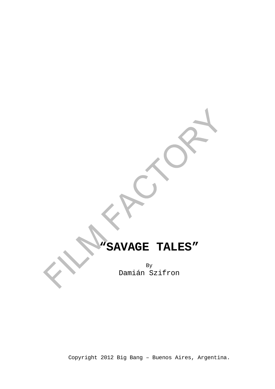# **"SAVAGE TALES"**

By Damián Szifron

Copyright 2012 Big Bang – Buenos Aires, Argentina.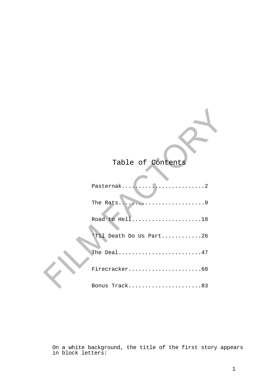# Table of Contents

| Pasternak2             |  |
|------------------------|--|
|                        |  |
| Road to Hell18         |  |
| Til Death Do Us Part26 |  |
| The Deal47             |  |
| Firecracker68          |  |
| Bonus Track83          |  |

On a white background, the title of the first story appears in block letters: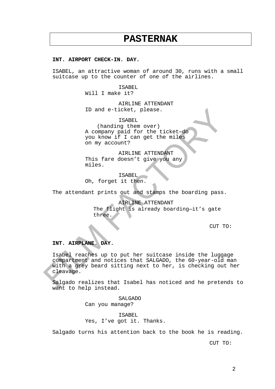# **PASTERNAK**

### **INT. AIRPORT CHECK-IN. DAY.**

ISABEL, an attractive woman of around 30, runs with a small suitcase up to the counter of one of the airlines.

ISABEL

Will I make it?

AIRLINE ATTENDANT ID and e-ticket, please.

ISABEL

(handing them over) A company paid for the ticket—do you know if I can get the miles on my account?

AIRLINE ATTENDANT This fare doesn't give you any miles.

ISABEL Oh, forget it then.

The attendant prints out and stamps the boarding pass.

AIRLINE ATTENDANT The flight is already boarding—it's gate three.

CUT TO:

# **INT. AIRPLANE. DAY.**

Isabel reaches up to put her suitcase inside the luggage compartment and notices that SALGADO, the 60-year-old man with a grey beard sitting next to her, is checking out her cleavage.

Salgado realizes that Isabel has noticed and he pretends to want to help instead.

> SALGADO Can you manage?

ISABEL Yes, I've got it. Thanks.

Salgado turns his attention back to the book he is reading.

CUT TO: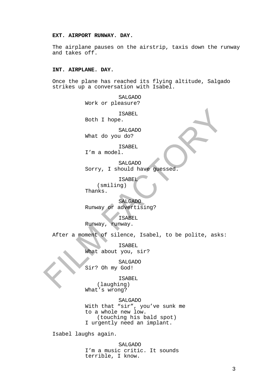# **EXT. AIRPORT RUNWAY. DAY.**

The airplane pauses on the airstrip, taxis down the runway and takes off.

# **INT. AIRPLANE. DAY.**

Once the plane has reached its flying altitude, Salgado strikes up a conversation with Isabel.

> SALGADO Work or pleasure? ISABEL Both I hope. SALGADO What do you do? ISABEL

I'm a model.

SALGADO Sorry, I should have guessed.

ISABEL

(smiling) Thanks.

SALGADO Runway or advertising?

ISABEL Runway, runway.

After a moment of silence, Isabel, to be polite, asks:

ISABEL What about you, sir?

SALGADO Sir? Oh my God!

ISABEL (laughing) What's wrong?

SALGADO With that "sir", you've sunk me to a whole new low. (touching his bald spot) I urgently need an implant.

Isabel laughs again.

SALGADO I'm a music critic. It sounds terrible, I know.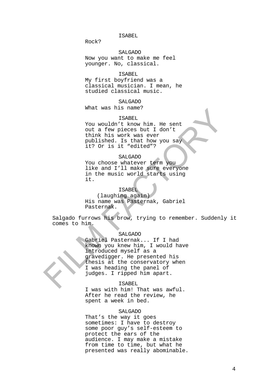#### ISABEL

Rock?

# SALGADO

Now you want to make me feel younger. No, classical.

#### ISABEL

My first boyfriend was a classical musician. I mean, he studied classical music.

# SALGADO

What was his name?

# ISABEL

You wouldn't know him. He sent out a few pieces but I don't think his work was ever published. Is that how you say it? Or is it "edited"?

# SALGADO

You choose whatever term you like and I'll make sure everyone in the music world starts using it.

#### ISABEL

(laughing again) His name was Pasternak, Gabriel Pasternak.

Salgado furrows his brow, trying to remember. Suddenly it comes to him.

#### SALGADO

Gabriel Pasternak... If I had known you knew him, I would have introduced myself as a gravedigger. He presented his thesis at the conservatory when I was heading the panel of judges. I ripped him apart.

#### ISABEL

I was with him! That was awful. After he read the review, he spent a week in bed.

# SALGADO

That's the way it goes sometimes: I have to destroy some poor guy's self-esteem to protect the ears of the audience. I may make a mistake from time to time, but what he presented was really abominable.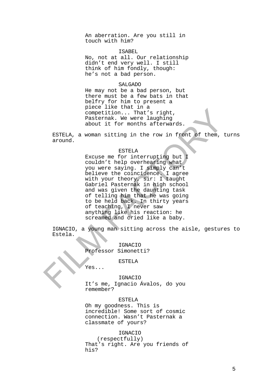An aberration. Are you still in touch with him?

#### ISABEL

No, not at all. Our relationship didn't end very well. I still think of him fondly, though: he's not a bad person.

# SALGADO

He may not be a bad person, but there must be a few bats in that belfry for him to present a piece like that in a competition... That's right, Pasternak. We were laughing about it for months afterwards.

ESTELA, a woman sitting in the row in front of them, turns around.

#### ESTELA

Excuse me for interrupting but I couldn't help overhearing what you were saying. I simply can't believe the coincidence. I agree with your theory, sir: I taught Gabriel Pasternak in high school and was given the daunting task of telling him that he was going to be held back. In thirty years of teaching, I never saw anything like his reaction: he screamed and cried like a baby.

IGNACIO, a young man sitting across the aisle, gestures to Estela.

> IGNACIO Professor Simonetti?

> > ESTELA

Yes...

IGNACIO It's me, Ignacio Ávalos, do you remember?

# ESTELA

Oh my goodness. This is incredible! Some sort of cosmic connection. Wasn't Pasternak a classmate of yours?

# IGNACIO

(respectfully) That's right. Are you friends of his?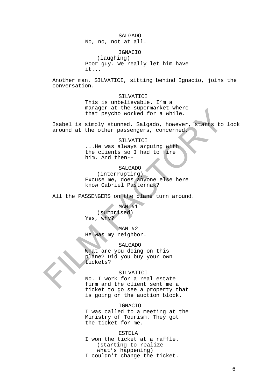#### SALGADO

No, no, not at all.

# IGNACIO

(laughing) Poor guy. We really let him have it...

Another man, SILVATICI, sitting behind Ignacio, joins the conversation.

# SILVATICI

This is unbelievable. I'm a manager at the supermarket where that psycho worked for a while.

Isabel is simply stunned. Salgado, however, starts to look around at the other passengers, concerned.

#### SILVATICI

...He was always arguing with the clients so I had to fire him. And then--

# SALGADO

(interrupting) Excuse me, does anyone else here know Gabriel Pasternak?

All the PASSENGERS on the plane turn around.

MAN #1 (surprised) Yes, why?

MAN #2 He was my neighbor.

# SALGADO

What are you doing on this plane? Did you buy your own tickets?

#### SILVATICI

No. I work for a real estate firm and the client sent me a ticket to go see a property that is going on the auction block.

# IGNACIO

I was called to a meeting at the Ministry of Tourism. They got the ticket for me.

ESTELA I won the ticket at a raffle. (starting to realize what's happening) I couldn't change the ticket.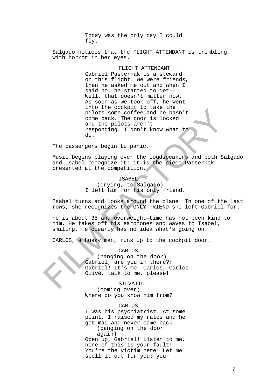Today was the only day I could fly.

Salgado notices that the FLIGHT ATTENDANT is trembling, with horror in her eyes.

#### FLIGHT ATTENDANT

Gabriel Pasternak is a steward on this flight. We were friends, then he asked me out and when I said no, he started to get-- Well, that doesn't matter now. As soon as we took off, he went into the cockpit to take the pilots some coffee and he hasn't come back. The door is locked and the pilots aren't responding. I don't know what to do.

The passengers begin to panic.

Music begins playing over the loudspeakers and both Salgado and Isabel recognize it: it is the piece Pasternak presented at the competition.

# ISABEL (crying, to Salgado) I left him for his only friend.

Isabel turns and looks around the plane. In one of the last rows, she recognizes the ONLY FRIEND she left Gabriel for.

He is about 35 and overweight—time has not been kind to him. He takes off his earphones and waves to Isabel, smiling. He clearly has no idea what's going on.

CARLOS, a husky man, runs up to the cockpit door.

# CARLOS

(banging on the door) Gabriel, are you in there?! Gabriel! It's me, Carlos, Carlos Olivé, talk to me, please!

SILVATICI (coming over) Where do you know him from?

# CARLOS

I was his psychiatrist. At some point, I raised my rates and he got mad and never came back. (banging on the door again) Open up, Gabriel! Listen to me, none of this is your fault! You're the victim here! Let me spell it out for you: your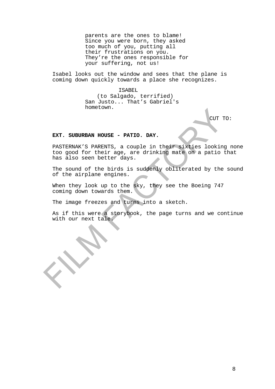parents are the ones to blame! Since you were born, they asked too much of you, putting all their frustrations on you. They're the ones responsible for your suffering, not us!

Isabel looks out the window and sees that the plane is coming down quickly towards a place she recognizes.

#### ISABEL

(to Salgado, terrified) San Justo... That's Gabriel's hometown.

CUT TO:

# **EXT. SUBURBAN HOUSE - PATIO. DAY.**

PASTERNAK'S PARENTS, a couple in their sixties looking none too good for their age, are drinking mate on a patio that has also seen better days.

The sound of the birds is suddenly obliterated by the sound of the airplane engines.

When they look up to the sky, they see the Boeing 747 coming down towards them.

The image freezes and turns into a sketch.

As if this were a storybook, the page turns and we continue with our next tale.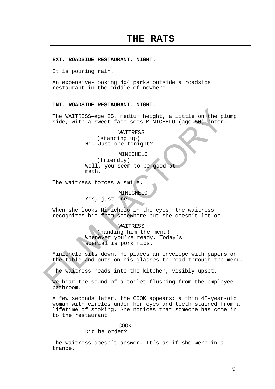# **THE RATS**

#### **EXT. ROADSIDE RESTAURANT. NIGHT.**

It is pouring rain.

An expensive-looking 4x4 parks outside a roadside restaurant in the middle of nowhere.

# **INT. ROADSIDE RESTAURANT. NIGHT.**

The WAITRESS—age 25, medium height, a little on the plump side, with a sweet face-sees MINICHELO (age 50) enter.

> WAITRESS (standing up) Hi. Just one tonight?

> > MINICHELO

(friendly) Well, you seem to be good at math.

The waitress forces a smile.

MINICHELO

Yes, just one.

When she looks Minichelo in the eyes, the waitress recognizes him from somewhere but she doesn't let on.

#### WAITRESS

(handing him the menu) Whenever you're ready. Today's special is pork ribs.

Minichelo sits down. He places an envelope with papers on the table and puts on his glasses to read through the menu.

The waitress heads into the kitchen, visibly upset.

We hear the sound of a toilet flushing from the employee bathroom.

A few seconds later, the COOK appears: a thin 45-year-old woman with circles under her eyes and teeth stained from a lifetime of smoking. She notices that someone has come in to the restaurant.

# COOK

# Did he order?

The waitress doesn't answer. It's as if she were in a trance.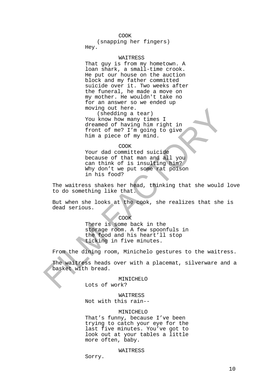#### COOK

(snapping her fingers) Hey.

#### WAITRESS

That guy is from my hometown. A loan shark, a small-time crook. He put our house on the auction block and my father committed suicide over it. Two weeks after the funeral, he made a move on my mother. He wouldn't take no for an answer so we ended up moving out here.

(shedding a tear) You know how many times I dreamed of having him right in front of me? I'm going to give him a piece of my mind.

#### COOK

Your dad committed suicide because of that man and all you can think of is insulting him? Why don't we put some rat poison in his food?

The waitress shakes her head, thinking that she would love to do something like that.

But when she looks at the cook, she realizes that she is dead serious.

#### COOK

There is some back in the storage room. A few spoonfuls in the food and his heart'll stop ticking in five minutes.

From the dining room, Minichelo gestures to the waitress.

The waitress heads over with a placemat, silverware and a basket with bread.

#### **MINICHELO**

Lots of work?

## WAITRESS

Not with this rain--

#### MINICHELO

That's funny, because I've been trying to catch your eye for the last five minutes. You've got to look out at your tables a little more often, baby.

#### WAITRESS

Sorry.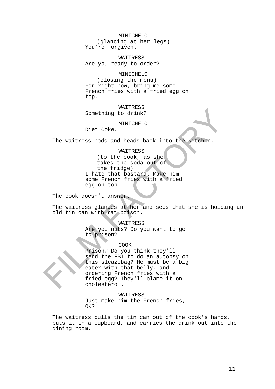#### MINICHELO

(glancing at her legs) You're forgiven.

WAITRESS Are you ready to order?

# MINICHELO

(closing the menu) For right now, bring me some French fries with a fried egg on top.

# WAITRESS Something to drink?

MINICHELO

Diet Coke.

The waitress nods and heads back into the kitchen.

#### WAITRESS

(to the cook, as she takes the soda out of the fridge) I hate that bastard. Make him some French fries with a fried egg on top.

The cook doesn't answer.

The waitress glances at her and sees that she is holding an old tin can with rat poison.

WAITRESS

Are you nuts? Do you want to go to prison?

COOK

Prison? Do you think they'll send the FBI to do an autopsy on this sleazebag? He must be a big eater with that belly, and ordering French fries with a fried egg? They'll blame it on cholesterol.

WAITRESS

Just make him the French fries, OK?

The waitress pulls the tin can out of the cook's hands, puts it in a cupboard, and carries the drink out into the dining room.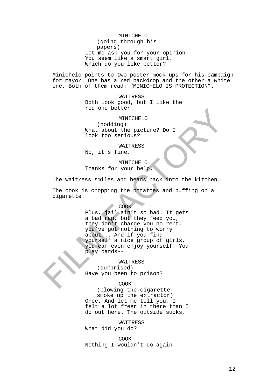#### MINICHELO

(going through his papers) Let me ask you for your opinion. You seem like a smart girl. Which do you like better?

Minichelo points to two poster mock-ups for his campaign for mayor. One has a red backdrop and the other a white one. Both of them read: "MINICHELO IS PROTECTION".

> WAITRESS Both look good, but I like the red one better.

MINICHELO (nodding) What about the picture? Do I look too serious?

WAITRESS

No, it's fine.

MINICHELO Thanks for your help.

The waitress smiles and heads back into the kitchen.

The cook is chopping the potatoes and puffing on a cigarette.

#### COOK

Plus, jail ain't so bad. It gets a bad rap, but they feed you, they don't charge you no rent, you've got nothing to worry about... And if you find yourself a nice group of girls, you can even enjoy yourself. You play cards--

**WAITRESS** (surprised) Have you been to prison?

#### COOK

(blowing the cigarette smoke up the extractor) Once. And let me tell you, I felt a lot freer in there than I do out here. The outside sucks.

WAITRESS What did you do?

COOK Nothing I wouldn't do again.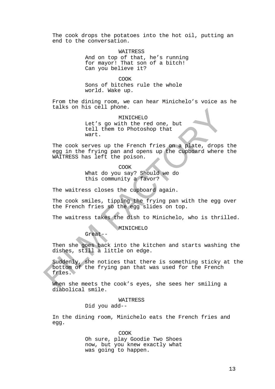The cook drops the potatoes into the hot oil, putting an end to the conversation.

> WAITRESS And on top of that, he's running for mayor! That son of a bitch! Can you believe it?

COOK Sons of bitches rule the whole world. Wake up.

From the dining room, we can hear Minichelo's voice as he talks on his cell phone.

> MINICHELO Let's go with the red one, but tell them to Photoshop that wart.

The cook serves up the French fries on a plate, drops the egg in the frying pan and opens up the cupboard where the WAITRESS has left the poison.

COOK

What do you say? Should we do this community a favor?

The waitress closes the cupboard again.

The cook smiles, tipping the frying pan with the egg over the French fries so the egg slides on top.

The waitress takes the dish to Minichelo, who is thrilled.

MINICHELO

Then she goes back into the kitchen and starts washing the dishes, still a little on edge.

Suddenly, she notices that there is something sticky at the bottom of the frying pan that was used for the French fries.

When she meets the cook's eyes, she sees her smiling a diabolical smile.

#### WAITRESS

Did you add--

Great--

In the dining room, Minichelo eats the French fries and egg.

> COOK Oh sure, play Goodie Two Shoes now, but you knew exactly what was going to happen.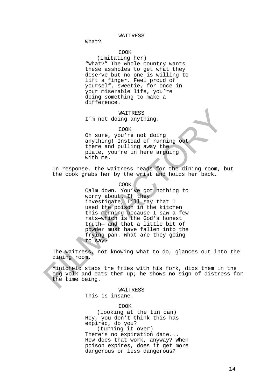#### WAITRESS

What?

# COOK

(imitating her) "What?" The whole country wants these assholes to get what they deserve but no one is willing to lift a finger. Feel proud of yourself, sweetie, for once in your miserable life, you're doing something to make a difference.

# WAITRESS

I'm not doing anything.

#### COOK

Oh sure, you're not doing anything! Instead of running out there and pulling away the plate, you're in here arguing with me.

In response, the waitress heads for the dining room, but the cook grabs her by the wrist and holds her back.

# COOK

Calm down. You've got nothing to worry about. If they investigate, I'll say that I used the poison in the kitchen this morning because I saw a few rats—which is the God's honest truth— and that a little bit of powder must have fallen into the frying pan. What are they going to say?

The waitress, not knowing what to do, glances out into the dining room.

Minichelo stabs the fries with his fork, dips them in the egg yolk and eats them up; he shows no sign of distress for the time being.

#### WAITRESS

This is insane.

# **COOK**

(looking at the tin can) Hey, you don't think this has expired, do you? (turning it over)

There's no expiration date... How does that work, anyway? When poison expires, does it get more dangerous or less dangerous?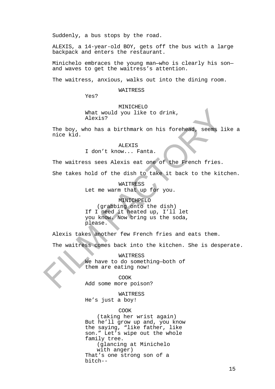Suddenly, a bus stops by the road.

ALEXIS, a 14-year-old BOY, gets off the bus with a large backpack and enters the restaurant.

Minichelo embraces the young man—who is clearly his son and waves to get the waitress's attention.

The waitress, anxious, walks out into the dining room.

WAITRESS

Yes?

MINICHELO What would you like to drink, Alexis?

The boy, who has a birthmark on his forehead, seems like a nice kid.

> ALEXIS I don't know... Fanta.

The waitress sees Alexis eat one of the French fries.

She takes hold of the dish to take it back to the kitchen.

WAITRESS Let me warm that up for you.

MINICHPELO (grabbing onto the dish) If I need it heated up, I'll let you know. Now bring us the soda,

please.

Alexis takes another few French fries and eats them.

The waitress comes back into the kitchen. She is desperate.

WAITRESS We have to do something—both of them are eating now!

COOK Add some more poison?

WAITRESS He's just a boy!

COOK

(taking her wrist again) But he'll grow up and, you know the saying, "like father, like son." Let's wipe out the whole family tree. (glancing at Minichelo with anger) That's one strong son of a bitch--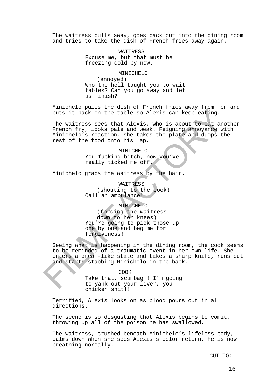The waitress pulls away, goes back out into the dining room and tries to take the dish of French fries away again.

> WAITRESS Excuse me, but that must be freezing cold by now.

> > MINICHELO

(annoyed) Who the hell taught you to wait tables? Can you go away and let us finish?

Minichelo pulls the dish of French fries away from her and puts it back on the table so Alexis can keep eating.

The waitress sees that Alexis, who is about to eat another French fry, looks pale and weak. Feigning annoyance with Minichelo's reaction, she takes the plate and dumps the rest of the food onto his lap.

> MINICHELO You fucking bitch, now you've really ticked me off.

Minichelo grabs the waitress by the hair.

WAITRESS (shouting to the cook) Call an ambulance!

MINICHELO

(forcing the waitress down to her knees) You're going to pick those up one by one and beg me for forgiveness!

Seeing what is happening in the dining room, the cook seems to be reminded of a traumatic event in her own life. She enters a dream-like state and takes a sharp knife, runs out and starts stabbing Minichelo in the back.

COOK

Take that, scumbag!! I'm going to yank out your liver, you chicken shit!!

Terrified, Alexis looks on as blood pours out in all directions.

The scene is so disgusting that Alexis begins to vomit, throwing up all of the poison he has swallowed.

The waitress, crushed beneath Minichelo's lifeless body, calms down when she sees Alexis's color return. He is now breathing normally.

CUT TO: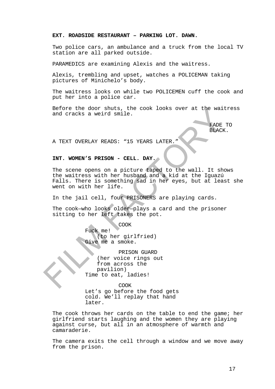# **EXT. ROADSIDE RESTAURANT – PARKING LOT. DAWN.**

Two police cars, an ambulance and a truck from the local TV station are all parked outside.

PARAMEDICS are examining Alexis and the waitress.

Alexis, trembling and upset, watches a POLICEMAN taking pictures of Minichelo's body.

The waitress looks on while two POLICEMEN cuff the cook and put her into a police car.

Before the door shuts, the cook looks over at the waitress and cracks a weird smile.

> FADE TO BLACK.

A TEXT OVERLAY READS: "15 YEARS LATER."

#### **INT. WOMEN'S PRISON - CELL. DAY.**

The scene opens on a picture taped to the wall. It shows the waitress with her husband and a kid at the Iguazú Falls. There is something sad in her eyes, but at least she went on with her life.

In the jail cell, four PRISONERS are playing cards.

The cook—who looks older—plays a card and the prisoner sitting to her left takes the pot.

> COOK Fuck me! (to her girlfried) Give me a smoke.

PRISON GUARD (her voice rings out from across the pavilion) Time to eat, ladies!

COOK

Let's go before the food gets cold. We'll replay that hand later.

The cook throws her cards on the table to end the game; her girlfriend starts laughing and the women they are playing against curse, but all in an atmosphere of warmth and camaraderie.

The camera exits the cell through a window and we move away from the prison.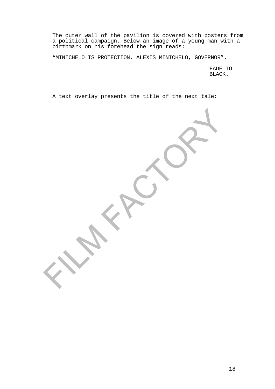The outer wall of the pavilion is covered with posters from a political campaign. Below an image of a young man with a birthmark on his forehead the sign reads:

"MINICHELO IS PROTECTION. ALEXIS MINICHELO, GOVERNOR".

FADE TO BLACK.

A text overlay presents the title of the next tale: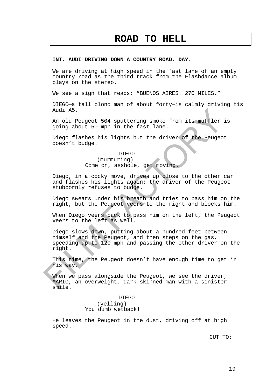# **ROAD TO HELL**

### **INT. AUDI DRIVING DOWN A COUNTRY ROAD. DAY.**

We are driving at high speed in the fast lane of an empty country road as the third track from the Flashdance album plays on the stereo.

We see a sign that reads: "BUENOS AIRES: 270 MILES."

DIEGO—a tall blond man of about forty—is calmly driving his Audi A5.

An old Peugeot 504 sputtering smoke from its muffler is going about 50 mph in the fast lane.

Diego flashes his lights but the driver of the Peugeot doesn't budge.

> DIEGO (murmuring) Come on, asshole, get moving.

Diego, in a cocky move, drives up close to the other car and flashes his lights again; the driver of the Peugeot stubbornly refuses to budge.

Diego swears under his breath and tries to pass him on the right, but the Peugeot veers to the right and blocks him.

When Diego veers back to pass him on the left, the Peugeot veers to the left as well.

Diego slows down, putting about a hundred feet between himself and the Peugeot, and then steps on the gas, speeding up to 120 mph and passing the other driver on the right.

This time, the Peugeot doesn't have enough time to get in his way.

When we pass alongside the Peugeot, we see the driver, MARIO, an overweight, dark-skinned man with a sinister smile.

> DIEGO (yelling) You dumb wetback!

He leaves the Peugeot in the dust, driving off at high speed.

CUT TO: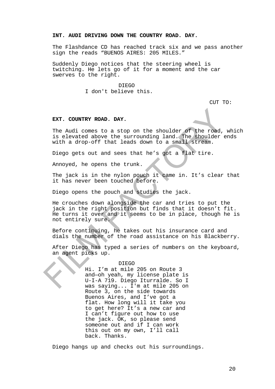# **INT. AUDI DRIVING DOWN THE COUNTRY ROAD. DAY.**

The Flashdance CD has reached track six and we pass another sign the reads "BUENOS AIRES: 205 MILES."

Suddenly Diego notices that the steering wheel is twitching. He lets go of it for a moment and the car swerves to the right.

DIEGO

I don't believe this.

CUT TO:

# **EXT. COUNTRY ROAD. DAY.**

The Audi comes to a stop on the shoulder of the road, which is elevated above the surrounding land. The shoulder ends with a drop-off that leads down to a small stream.

Diego gets out and sees that he's got a flat tire.

Annoyed, he opens the trunk.

The jack is in the nylon pouch it came in. It's clear that it has never been touched before.

Diego opens the pouch and studies the jack.

He crouches down alongside the car and tries to put the jack in the right position but finds that it doesn't fit. He turns it over and it seems to be in place, though he is not entirely sure.

Before continuing, he takes out his insurance card and dials the number of the road assistance on his Blackberry.

After Diego has typed a series of numbers on the keyboard, an agent picks up.

#### DIEGO

Hi. I'm at mile 205 on Route 3 and—oh yeah, my license plate is U-I-A 719. Diego Iturralde. So I was saying... I'm at mile 205 on Route 3, on the side towards Buenos Aires, and I've got a flat. How long will it take you to get here? It's a new car and I can't figure out how to use the jack. OK, so please send someone out and if I can work this out on my own, I'll call back. Thanks.

Diego hangs up and checks out his surroundings.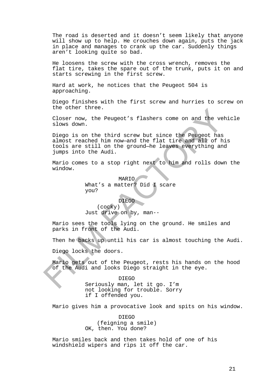The road is deserted and it doesn't seem likely that anyone will show up to help. He crouches down again, puts the jack in place and manages to crank up the car. Suddenly things aren't looking quite so bad.

He loosens the screw with the cross wrench, removes the flat tire, takes the spare out of the trunk, puts it on and starts screwing in the first screw.

Hard at work, he notices that the Peugeot 504 is approaching.

Diego finishes with the first screw and hurries to screw on the other three.

Closer now, the Peugeot's flashers come on and the vehicle slows down.

Diego is on the third screw but since the Peugeot has almost reached him now—and the flat tire and all of his tools are still on the ground—he leaves everything and jumps into the Audi.

Mario comes to a stop right next to him and rolls down the window.

> MARIO What's a matter? Did 1 scare you?

DIEGO (cocky) Just drive on by, man--

Mario sees the tools lying on the ground. He smiles and parks in front of the Audi.

Then he backs up until his car is almost touching the Audi.

Diego locks the doors.

Mario gets out of the Peugeot, rests his hands on the hood of the Audi and looks Diego straight in the eye.

> DIEGO Seriously man, let it go. I'm not looking for trouble. Sorry if I offended you.

Mario gives him a provocative look and spits on his window.

DIEGO (feigning a smile) OK, then. You done?

Mario smiles back and then takes hold of one of his windshield wipers and rips it off the car.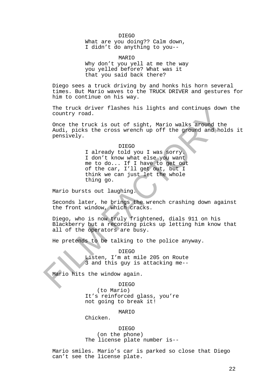#### DIEGO

What are you doing?? Calm down, I didn't do anything to you--

MARIO Why don't you yell at me the way you yelled before? What was it that you said back there?

Diego sees a truck driving by and honks his horn several times. But Mario waves to the TRUCK DRIVER and gestures for him to continue on his way.

The truck driver flashes his lights and continues down the country road.

Once the truck is out of sight, Mario walks around the Audi, picks the cross wrench up off the ground and holds it pensively.

#### DIEGO

I already told you I was sorry. I don't know what else you want me to do... If I have to get out of the car, I'll get out, but I think we can just let the whole thing go.

Mario bursts out laughing.

Seconds later, he brings the wrench crashing down against the front window, which cracks.

Diego, who is now truly frightened, dials 911 on his Blackberry but a recording picks up letting him know that all of the operators are busy.

He pretends to be talking to the police anyway.

DIEGO Listen, I'm at mile 205 on Route 3 and this guy is attacking me--

Mario hits the window again.

# DIEGO

(to Mario) It's reinforced glass, you're not going to break it!

#### MARIO

Chicken.

DIEGO (on the phone) The license plate number is--

Mario smiles. Mario's car is parked so close that Diego can't see the license plate.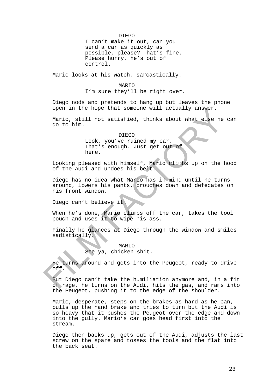#### DIEGO

I can't make it out, can you send a car as quickly as possible, please? That's fine. Please hurry, he's out of control.

Mario looks at his watch, sarcastically.

# MARIO

I'm sure they'll be right over.

Diego nods and pretends to hang up but leaves the phone open in the hope that someone will actually answer.

Mario, still not satisfied, thinks about what else he can do to him.

#### DIEGO

Look, you've ruined my car. That's enough. Just get out of here.

Looking pleased with himself, Mario climbs up on the hood of the Audi and undoes his belt.

Diego has no idea what Mario has in mind until he turns around, lowers his pants, crouches down and defecates on his front window.

Diego can't believe it.

When he's done, Mario climbs off the car, takes the tool pouch and uses it to wipe his ass.

Finally he glances at Diego through the window and smiles sadistically.

### MARIO

See ya, chicken shit.

He turns around and gets into the Peugeot, ready to drive off.

But Diego can't take the humiliation anymore and, in a fit of rage, he turns on the Audi, hits the gas, and rams into the Peugeot, pushing it to the edge of the shoulder.

Mario, desperate, steps on the brakes as hard as he can, pulls up the hand brake and tries to turn but the Audi is so heavy that it pushes the Peugeot over the edge and down into the gully. Mario's car goes head first into the stream.

Diego then backs up, gets out of the Audi, adjusts the last screw on the spare and tosses the tools and the flat into the back seat.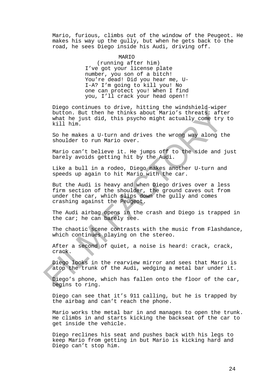Mario, furious, climbs out of the window of the Peugeot. He makes his way up the gully, but when he gets back to the road, he sees Diego inside his Audi, driving off.

#### MARIO

(running after him) I've got your license plate number, you son of a bitch! You're dead! Did you hear me, U-I-A? I'm going to kill you! No one can protect you! When I find you, I'll crack your head open!!

Diego continues to drive, hitting the windshield-wiper button. But then he thinks about Mario's threats: after what he just did, this psycho might actually come try to kill him.

So he makes a U-turn and drives the wrong way along the shoulder to run Mario over.

Mario can't believe it. He jumps off to the side and just barely avoids getting hit by the Audi.

Like a bull in a rodeo, Diego makes another U-turn and speeds up again to hit Mario with the car.

But the Audi is heavy and when Diego drives over a less firm section of the shoulder, the ground caves out from under the car, which slips down the gully and comes crashing against the Peugeot.

The Audi airbag opens in the crash and Diego is trapped in the car; he can barely see.

The chaotic scene contrasts with the music from Flashdance, which continues playing on the stereo.

After a second of quiet, a noise is heard: crack, crack, crack.

Diego looks in the rearview mirror and sees that Mario is atop the trunk of the Audi, wedging a metal bar under it.

Diego's phone, which has fallen onto the floor of the car, begins to ring.

Diego can see that it's 911 calling, but he is trapped by the airbag and can't reach the phone.

Mario works the metal bar in and manages to open the trunk. He climbs in and starts kicking the backseat of the car to get inside the vehicle.

Diego reclines his seat and pushes back with his legs to keep Mario from getting in but Mario is kicking hard and Diego can't stop him.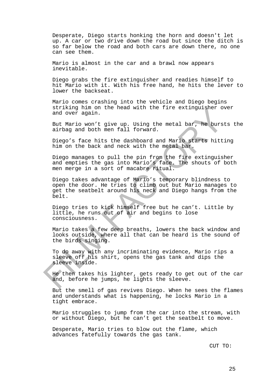Desperate, Diego starts honking the horn and doesn't let up. A car or two drive down the road but since the ditch is so far below the road and both cars are down there, no one can see them.

Mario is almost in the car and a brawl now appears inevitable.

Diego grabs the fire extinguisher and readies himself to hit Mario with it. With his free hand, he hits the lever to lower the backseat.

Mario comes crashing into the vehicle and Diego begins striking him on the head with the fire extinguisher over and over again.

But Mario won't give up. Using the metal bar, he bursts the airbag and both men fall forward.

Diego's face hits the dashboard and Mario starts hitting him on the back and neck with the metal bar.

Diego manages to pull the pin from the fire extinguisher and empties the gas into Mario's face. The shouts of both men merge in a sort of macabre ritual.

Diego takes advantage of Mario's temporary blindness to open the door. He tries to climb out but Mario manages to get the seatbelt around his neck and Diego hangs from the belt.

Diego tries to kick himself free but he can't. Little by little, he runs out of air and begins to lose consciousness.

Mario takes a few deep breaths, lowers the back window and looks outside, where all that can be heard is the sound of the birds singing.

To do away with any incriminating evidence, Mario rips a sleeve off his shirt, opens the gas tank and dips the sleeve inside.

He then takes his lighter, gets ready to get out of the car and, before he jumps, he lights the sleeve.

But the smell of gas revives Diego. When he sees the flames and understands what is happening, he locks Mario in a tight embrace.

Mario struggles to jump from the car into the stream, with or without Diego, but he can't get the seatbelt to move.

Desperate, Mario tries to blow out the flame, which advances fatefully towards the gas tank.

CUT TO: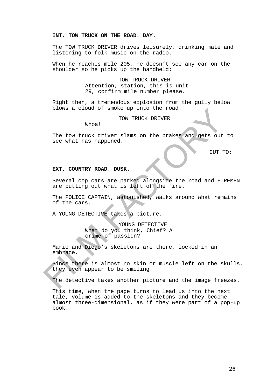# **INT. TOW TRUCK ON THE ROAD. DAY.**

The TOW TRUCK DRIVER drives leisurely, drinking mate and listening to folk music on the radio.

When he reaches mile 205, he doesn't see any car on the shoulder so he picks up the handheld:

> TOW TRUCK DRIVER Attention, station, this is unit 29, confirm mile number please.

Right then, a tremendous explosion from the gully below blows a cloud of smoke up onto the road.

TOW TRUCK DRIVER

Whoa!

The tow truck driver slams on the brakes and gets out to see what has happened.

CUT TO:

# **EXT. COUNTRY ROAD. DUSK.**

Several cop cars are parked alongside the road and FIREMEN are putting out what is left of the fire.

The POLICE CAPTAIN, astonished, walks around what remains of the cars.

A YOUNG DETECTIVE takes a picture.

YOUNG DETECTIVE What do you think, Chief? A crime of passion?

Mario and Diego's skeletons are there, locked in an embrace.

Since there is almost no skin or muscle left on the skulls, they even appear to be smiling.

The detective takes another picture and the image freezes.

This time, when the page turns to lead us into the next tale, volume is added to the skeletons and they become almost three-dimensional, as if they were part of a pop-up book.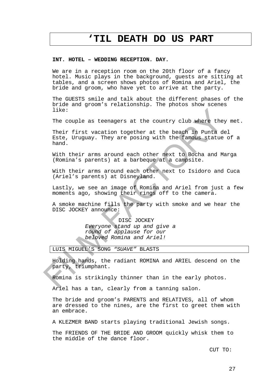# **'TIL DEATH DO US PART**

#### **INT. HOTEL – WEDDING RECEPTION. DAY.**

We are in a reception room on the 20th floor of a fancy hotel. Music plays in the background, guests are sitting at tables, and a screen shows photos of Romina and Ariel, the bride and groom, who have yet to arrive at the party.

The GUESTS smile and talk about the different phases of the bride and groom's relationship. The photos show scenes like:

The couple as teenagers at the country club where they met.

Their first vacation together at the beach in Punta del Este, Uruguay. They are posing with the famous statue of a hand.

With their arms around each other next to Bocha and Marga (Romina's parents) at a barbeque at a campsite.

With their arms around each other next to Isidoro and Cuca (Ariel's parents) at Disneyland.

Lastly, we see an image of Romina and Ariel from just a few moments ago, showing their rings off to the camera.

A smoke machine fills the party with smoke and we hear the DISC JOCKEY announce:

> DISC JOCKEY *Everyone stand up and give a round of applause for our beloved Romina and Ariel!*

# LUIS MIGUEL'S SONG *"SUAVE"* BLASTS

Holding hands, the radiant ROMINA and ARIEL descend on the party, triumphant.

Romina is strikingly thinner than in the early photos.

Ariel has a tan, clearly from a tanning salon.

The bride and groom's PARENTS and RELATIVES, all of whom are dressed to the nines, are the first to greet them with an embrace.

A KLEZMER BAND starts playing traditional Jewish songs.

The FRIENDS OF THE BRIDE AND GROOM quickly whisk them to the middle of the dance floor.

CUT TO: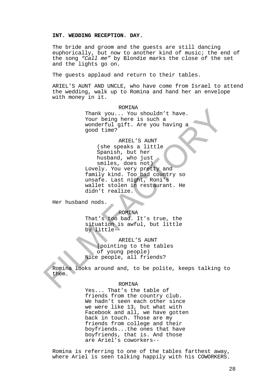# **INT. WEDDING RECEPTION. DAY.**

The bride and groom and the guests are still dancing euphorically, but now to another kind of music; the end of the song *"Call me"* by Blondie marks the close of the set and the lights go on.

The guests applaud and return to their tables.

ARIEL'S AUNT AND UNCLE, who have come from Israel to attend the wedding, walk up to Romina and hand her an envelope with money in it.

> ROMINA Thank you... You shouldn't have. Your being here is such a wonderful gift. Are you having a good time?

ARIEL'S AUNT (she speaks a little Spanish, but her husband, who just smiles, does not) Lovely. You very pretty and family kind. Too bad country so unsafe. Last night, Roni's wallet stolen in restaurant. He didn't realize.

Her husband nods.

ROMINA

That's too bad. It's true, the situation is awful, but little by little--

ARIEL'S AUNT (pointing to the tables of young people) Nice people, all friends?

Romina looks around and, to be polite, keeps talking to them.

#### ROMINA

Yes... That's the table of friends from the country club. We hadn't seen each other since we were like 13, but what with Facebook and all, we have gotten back in touch. Those are my friends from college and their boyfriends...the ones that have boyfriends, that is. And those are Ariel's coworkers--

Romina is referring to one of the tables farthest away, where Ariel is seen talking happily with his COWORKERS.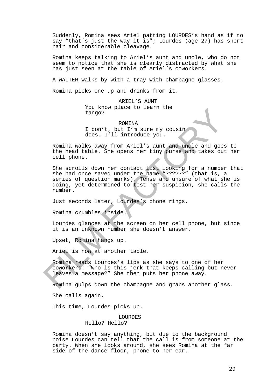Suddenly, Romina sees Ariel patting LOURDES's hand as if to say "that's just the way it is"; Lourdes (age 27) has short hair and considerable cleavage.

Romina keeps talking to Ariel's aunt and uncle, who do not seem to notice that she is clearly distracted by what she has just seen at the table of Ariel's coworkers.

A WAITER walks by with a tray with champagne glasses.

Romina picks one up and drinks from it.

ARIEL'S AUNT You know place to learn the tango?

ROMINA I don't, but I'm sure my cousin does. I'll introduce you.

Romina walks away from Ariel's aunt and uncle and goes to the head table. She opens her tiny purse and takes out her cell phone.

She scrolls down her contact list looking for a number that she had once saved under the name "??????" (that is, a series of question marks). Tense and unsure of what she is doing, yet determined to test her suspicion, she calls the number.

Just seconds later, Lourdes's phone rings.

Romina crumbles inside.

Lourdes glances at the screen on her cell phone, but since it is an unknown number she doesn't answer.

Upset, Romina hangs up.

Ariel is now at another table.

Romina reads Lourdes's lips as she says to one of her coworkers: "Who is this jerk that keeps calling but never leaves a message?" She then puts her phone away.

Romina gulps down the champagne and grabs another glass.

She calls again.

This time, Lourdes picks up.

LOURDES

Hello? Hello?

Romina doesn't say anything, but due to the background noise Lourdes can tell that the call is from someone at the party. When she looks around, she sees Romina at the far side of the dance floor, phone to her ear.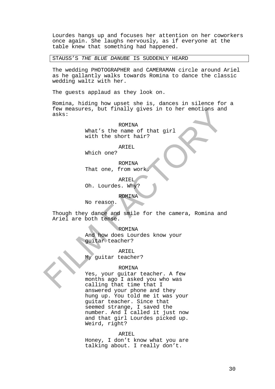Lourdes hangs up and focuses her attention on her coworkers once again. She laughs nervously, as if everyone at the table knew that something had happened.

STAUSS'S *THE BLUE DANUBE* IS SUDDENLY HEARD

The wedding PHOTOGRAPHER and CAMERAMAN circle around Ariel as he gallantly walks towards Romina to dance the classic wedding waltz with her.

The guests applaud as they look on.

Romina, hiding how upset she is, dances in silence for a few measures, but finally gives in to her emotions and asks:

> ROMINA What's the name of that girl with the short hair?

> > ARIEL

Which one?

ROMINA That one, from work.

ARIEL Oh. Lourdes. Why?

ROMINA

No reason.

Though they dance and smile for the camera, Romina and Ariel are both tense.

ROMINA

And how does Lourdes know your guitar teacher?

ARIEL

My guitar teacher?

#### ROMINA

Yes, your guitar teacher. A few months ago I asked you who was calling that time that I answered your phone and they hung up. You told me it was your guitar teacher. Since that seemed strange, I saved the number. And I called it just now and that girl Lourdes picked up. Weird, right?

#### ARIEL

Honey, I don't know what you are talking about. I really don't.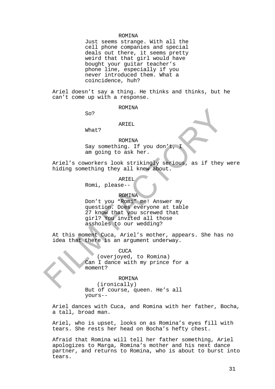#### ROMINA

Just seems strange. With all the cell phone companies and special deals out there, it seems pretty weird that that girl would have bought your guitar teacher's phone line, especially if you never introduced them. What a coincidence, huh?

Ariel doesn't say a thing. He thinks and thinks, but he can't come up with a response.

#### ROMINA

So?

#### ARIEL

What?

# ROMINA

Say something. If you don't, I am going to ask her.

Ariel's coworkers look strikingly serious, as if they were hiding something they all knew about.

ARIEL

Romi, please--

#### ROMINA

Don't you "Romi" me! Answer my question. Does everyone at table 27 know that you screwed that girl? You invited all those assholes to our wedding?

At this moment Cuca, Ariel's mother, appears. She has no idea that there is an argument underway.

# **CUCA**

(overjoyed, to Romina) Can I dance with my prince for a moment?

#### ROMINA

(ironically) But of course, queen. He's all yours--

Ariel dances with Cuca, and Romina with her father, Bocha, a tall, broad man.

Ariel, who is upset, looks on as Romina's eyes fill with tears. She rests her head on Bocha's hefty chest.

Afraid that Romina will tell her father something, Ariel apologizes to Marga, Romina's mother and his next dance partner, and returns to Romina, who is about to burst into tears.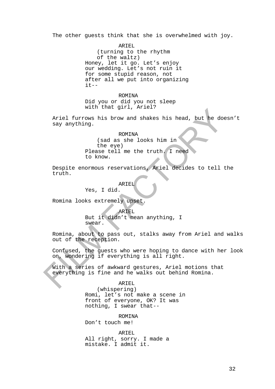The other guests think that she is overwhelmed with joy.

ARTEL (turning to the rhythm of the waltz) Honey, let it go. Let's enjoy our wedding. Let's not ruin it for some stupid reason, not after all we put into organizing  $it--$ 

ROMINA Did you or did you not sleep with that girl, Ariel?

Ariel furrows his brow and shakes his head, but he doesn't say anything.

#### ROMINA

(sad as she looks him in the eye) Please tell me the truth. I need to know.

Despite enormous reservations, Ariel decides to tell the truth.

ARIEL

Yes, I did.

Romina looks extremely upset.

ARIEL But it didn't mean anything, I swear.

Romina, about to pass out, stalks away from Ariel and walks out of the reception.

Confused, the guests who were hoping to dance with her look on, wondering if everything is all right.

With a series of awkward gestures, Ariel motions that everything is fine and he walks out behind Romina.

ARIEL

(whispering) Romi, let's not make a scene in front of everyone, OK? It was nothing, I swear that--

ROMINA

Don't touch me!

ARIEL All right, sorry. I made a mistake. I admit it.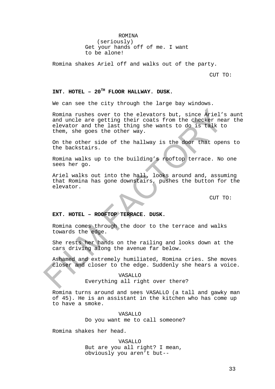# ROMINA

(seriously) Get your hands off of me. I want to be alone!

Romina shakes Ariel off and walks out of the party.

CUT TO:

# **INT. HOTEL – 20TH FLOOR HALLWAY. DUSK.**

We can see the city through the large bay windows.

Romina rushes over to the elevators but, since Ariel's aunt and uncle are getting their coats from the checker near the elevator and the last thing she wants to do is talk to them, she goes the other way.

On the other side of the hallway is the door that opens to the backstairs.

Romina walks up to the building's rooftop terrace. No one sees her go.

Ariel walks out into the hall, looks around and, assuming that Romina has gone downstairs, pushes the button for the elevator.

CUT TO:

# **EXT. HOTEL – ROOFTOP TERRACE. DUSK.**

Romina comes through the door to the terrace and walks towards the edge.

She rests her hands on the railing and looks down at the cars driving along the avenue far below.

Ashamed and extremely humiliated, Romina cries. She moves closer and closer to the edge. Suddenly she hears a voice.

# VASALLO

# Everything all right over there?

Romina turns around and sees VASALLO (a tall and gawky man of 45). He is an assistant in the kitchen who has come up to have a smoke.

> VASALLO Do you want me to call someone?

Romina shakes her head.

VASALLO But are you all right? I mean, obviously you aren't but--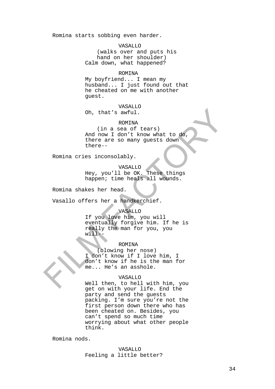Romina starts sobbing even harder.

VASALLO

(walks over and puts his hand on her shoulder) Calm down, what happened?

#### ROMINA

My boyfriend... I mean my husband... I just found out that he cheated on me with another guest.

#### VASALLO

Oh, that's awful.

#### ROMINA

(in a sea of tears) And now I don't know what to do, there are so many guests down there--

Romina cries inconsolably.

VASALLO

Hey, you'll be OK. These things happen; time heals all wounds.

Romina shakes her head.

Vasallo offers her a handkerchief.

#### VASALLO

If you love him, you will eventually forgive him. If he is really the man for you, you will--

# ROMINA

(blowing her nose) I don't know if I love him, I don't know if he is the man for me... He's an asshole.

#### VASALLO

Well then, to hell with him, you get on with your life. End the party and send the guests packing. I'm sure you're not the first person down there who has been cheated on. Besides, you can't spend so much time worrying about what other people think.

Romina nods.

VASALLO Feeling a little better?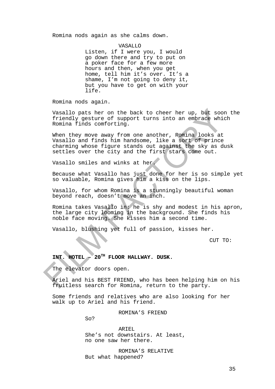Romina nods again as she calms down.

VASALLO Listen, if I were you, I would go down there and try to put on a poker face for a few more hours and then, when you get home, tell him it's over. It's a shame, I'm not going to deny it, but you have to get on with your life.

Romina nods again.

Vasallo pats her on the back to cheer her up, but soon the friendly gesture of support turns into an embrace which Romina finds comforting.

When they move away from one another, Romina looks at Vasallo and finds him handsome, like a sort of prince charming whose figure stands out against the sky as dusk settles over the city and the first stars come out.

Vasallo smiles and winks at her.

Because what Vasallo has just done for her is so simple yet so valuable, Romina gives him a kiss on the lips.

Vasallo, for whom Romina is a stunningly beautiful woman beyond reach, doesn't move an inch.

Romina takes Vasallo in: he is shy and modest in his apron, the large city looming in the background. She finds his noble face moving. She kisses him a second time.

Vasallo, blushing yet full of passion, kisses her.

CUT TO:

# **INT. HOTEL – 20TH FLOOR HALLWAY. DUSK.**

The elevator doors open.

Ariel and his BEST FRIEND, who has been helping him on his fruitless search for Romina, return to the party.

Some friends and relatives who are also looking for her walk up to Ariel and his friend.

ROMINA'S FRIEND

So?

ARIEL She's not downstairs. At least, no one saw her there.

ROMINA'S RELATIVE But what happened?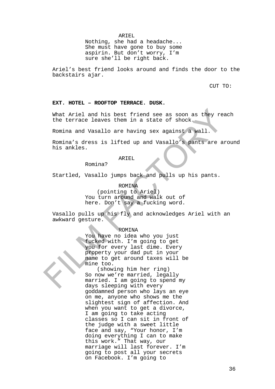ARIEL

Nothing, she had a headache... She must have gone to buy some aspirin. But don't worry, I'm sure she'll be right back.

Ariel's best friend looks around and finds the door to the backstairs ajar.

CUT TO:

### **EXT. HOTEL – ROOFTOP TERRACE. DUSK.**

What Ariel and his best friend see as soon as they reach the terrace leaves them in a state of shock.

Romina and Vasallo are having sex against a wall.

Romina's dress is lifted up and Vasallo's pants are around his ankles.

### ARIEL

Romina?

Startled, Vasallo jumps back and pulls up his pants.

### ROMINA

(pointing to Ariel) You turn around and walk out of here. Don't say a fucking word.

Vasallo pulls up his fly and acknowledges Ariel with an awkward gesture.

# ROMINA

You have no idea who you just fucked with. I'm going to get you for every last dime. Every property your dad put in your name to get around taxes will be mine too.

(showing him her ring) So now we're married, legally married. I am going to spend my days sleeping with every goddamned person who lays an eye on me, anyone who shows me the slightest sign of affection. And when you want to get a divorce, I am going to take acting classes so I can sit in front of the judge with a sweet little face and say, "Your honor, I'm doing everything I can to make this work." That way, our marriage will last forever. I'm going to post all your secrets on Facebook. I'm going to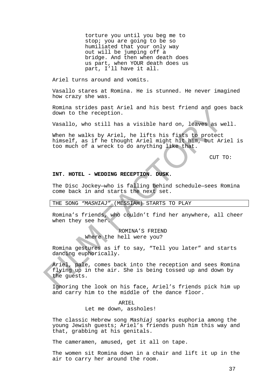torture you until you beg me to stop; you are going to be so humiliated that your only way out will be jumping off a bridge. And then when death does us part, when YOUR death does us part, I'll have it all.

Ariel turns around and vomits.

Vasallo stares at Romina. He is stunned. He never imagined how crazy she was.

Romina strides past Ariel and his best friend and goes back down to the reception.

Vasallo, who still has a visible hard on, leaves as well.

When he walks by Ariel, he lifts his fists to protect himself, as if he thought Ariel might hit him, but Ariel is too much of a wreck to do anything like that.

CUT TO:

# **INT. HOTEL - WEDDING RECEPTION. DUSK.**

The Disc Jockey—who is falling behind schedule—sees Romina come back in and starts the next set.

### THE SONG *"MASHIAJ"* (MESSIAH) STARTS TO PLAY

Romina's friends, who couldn't find her anywhere, all cheer when they see her.

> ROMINA'S FRIEND Where the hell were you?

Romina gestures as if to say, "Tell you later" and starts dancing euphorically.

Ariel, pale, comes back into the reception and sees Romina flying up in the air. She is being tossed up and down by the guests.

Ignoring the look on his face, Ariel's friends pick him up and carry him to the middle of the dance floor.

# ARTEL

Let me down, assholes!

The classic Hebrew song *Mashiaj* sparks euphoria among the young Jewish guests; Ariel's friends push him this way and that, grabbing at his genitals.

The cameramen, amused, get it all on tape.

The women sit Romina down in a chair and lift it up in the air to carry her around the room.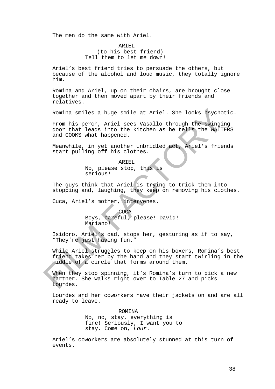The men do the same with Ariel.

ARTEL. (to his best friend) Tell them to let me down!

Ariel's best friend tries to persuade the others, but because of the alcohol and loud music, they totally ignore him.

Romina and Ariel, up on their chairs, are brought close together and then moved apart by their friends and relatives.

Romina smiles a huge smile at Ariel. She looks psychotic.

From his perch, Ariel sees Vasallo through the swinging door that leads into the kitchen as he tells the WAITERS and COOKS what happened.

Meanwhile, in yet another unbridled act, Ariel's friends start pulling off his clothes.

> ARIEL No, please stop, this is serious!

The guys think that Ariel is trying to trick them into stopping and, laughing, they keep on removing his clothes.

Cuca, Ariel's mother, intervenes.

"They're just having fun."

CUCA Boys, careful, please! David!

Mariano! Isidoro, Ariel's dad, stops her, gesturing as if to say,

While Ariel struggles to keep on his boxers, Romina's best friend takes her by the hand and they start twirling in the middle of a circle that forms around them.

When they stop spinning, it's Romina's turn to pick a new partner. She walks right over to Table 27 and picks Lourdes.

Lourdes and her coworkers have their jackets on and are all ready to leave.

> ROMINA No, no, stay, everything is fine! Seriously, I want you to stay. Come on, *Lour*.

Ariel's coworkers are absolutely stunned at this turn of events.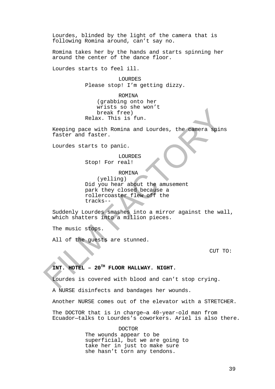Lourdes, blinded by the light of the camera that is following Romina around, can't say no.

Romina takes her by the hands and starts spinning her around the center of the dance floor.

Lourdes starts to feel ill.

LOURDES Please stop! I'm getting dizzy.

ROMINA

(grabbing onto her wrists so she won't break free) Relax. This is fun.

Keeping pace with Romina and Lourdes, the camera spins faster and faster.

Lourdes starts to panic.

LOURDES Stop! For real!

ROMINA

(yelling) Did you hear about the amusement park they closed because a rollercoaster flew off the tracks--

Suddenly Lourdes smashes into a mirror against the wall, which shatters into a million pieces.

The music stops.

All of the guests are stunned.

CUT TO:

# **INT. HOTEL – 20TH FLOOR HALLWAY. NIGHT.**

Lourdes is covered with blood and can't stop crying.

A NURSE disinfects and bandages her wounds.

Another NURSE comes out of the elevator with a STRETCHER.

The DOCTOR that is in charge—a 40-year-old man from Ecuador—talks to Lourdes's coworkers. Ariel is also there.

> DOCTOR The wounds appear to be superficial, but we are going to take her in just to make sure she hasn't torn any tendons.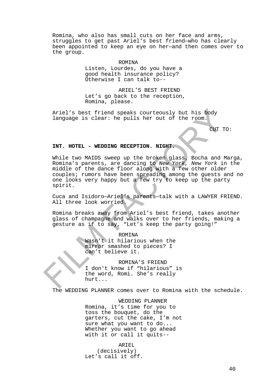Romina, who also has small cuts on her face and arms, struggles to get past Ariel's best friend—who has clearly been appointed to keep an eye on her—and then comes over to the group.

ROMINA

Listen, Lourdes, do you have a good health insurance policy? Otherwise I can talk to--

ARIEL'S BEST FRIEND Let's go back to the reception, Romina, please.

Ariel's best friend speaks courteously but his body language is clear: he pulls her out of the room.

CUT TO:

### **INT. HOTEL - WEDDING RECEPTION. NIGHT.**

While two MAIDS sweep up the broken glass, Bocha and Marga, Romina's parents, are dancing to *New York, New York* in the middle of the dance floor along with a few other older couples; rumors have been spreading among the guests and no one looks very happy but a few try to keep up the party spirit.

Cuca and Isidoro—Ariel's parents—talk with a LAWYER FRIEND. All three look worried.

Romina breaks away from Ariel's best friend, takes another glass of champagne and walks over to her friends, making a gesture as if to say, "Let's keep the party going!"

ROMINA

Wasn't it hilarious when the mirror smashed to pieces? I can't believe it.

ROMINA'S FRIEND I don't know if "hilarious" is the word, Romi. She's really hurt...

The WEDDING PLANNER comes over to Romina with the schedule.

WEDDING PLANNER

Romina, it's time for you to toss the bouquet, do the garters, cut the cake, I'm not sure what you want to do... Whether you want to go ahead with it or call it quits--

ARTEL

(decisively) Let's call it off.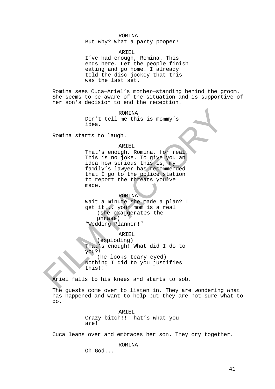### ROMINA

But why? What a party pooper!

ARIEL

I've had enough, Romina. This ends here. Let the people finish eating and go home. I already told the disc jockey that this was the last set.

Romina sees Cuca—Ariel's mother—standing behind the groom. She seems to be aware of the situation and is supportive of her son's decision to end the reception.

> ROMINA Don't tell me this is mommy's idea.

Romina starts to laugh.

#### ARIEL

That's enough, Romina, for real. This is no joke. To give you an idea how serious this is, my family's lawyer has recommended that I go to the police station to report the threats you've made.

### ROMINA

Wait a minute—she made a plan? I get it... your mom is a real (she exaggerates the phrase) "Wedding Planner!"

ARIEL

(exploding) That's enough! What did I do to you?! (he looks teary eyed) Nothing I did to you justifies this!!

Ariel falls to his knees and starts to sob.

The guests come over to listen in. They are wondering what has happened and want to help but they are not sure what to do.

> ARIEL Crazy bitch!! That's what you are!

Cuca leans over and embraces her son. They cry together.

ROMINA

Oh God...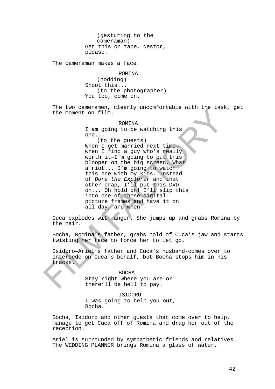(gesturing to the cameraman) Get this on tape, Nestor, please.

The cameraman makes a face.

ROMINA

(nodding) Shoot this... (to the photographer) You too, come on.

The two cameramen, clearly uncomfortable with the task, get the moment on film.

### ROMINA

I am going to be watching this one...

(to the guests)<br>When I get married next time when I find a guy who's really worth it—I'm going to put this blooper on the big screen. What a riot... I'm going to watch this one with my kids. Instead of *Dora the Explorer* and that other crap, I'll put this DVD on... Oh hold on! I'll slip this into one of those digital picture frames and have it on all day, and when--

Cuca explodes with anger. She jumps up and grabs Romina by the hair.

Bocha, Romina's father, grabs hold of Cuca's jaw and starts twisting her face to force her to let go.

Isidoro—Ariel's father and Cuca's husband-comes over to intercede on Cuca's behalf, but Bocha stops him in his tracks.

> BOCHA Stay right where you are or there'll be hell to pay.

ISIDORO I was going to help you out, Bocha.

Bocha, Isidoro and other guests that come over to help, manage to get Cuca off of Romina and drag her out of the reception.

Ariel is surrounded by sympathetic friends and relatives. The WEDDING PLANNER brings Romina a glass of water.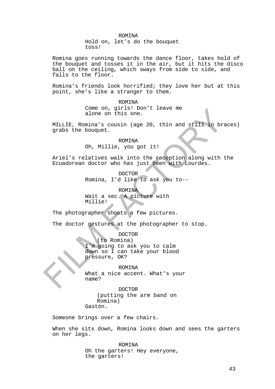ROMINA Hold on, let's do the bouquet toss!

Romina goes running towards the dance floor, takes hold of the bouquet and tosses it in the air, but it hits the disco ball on the ceiling, which sways from side to side, and falls to the floor.

Romina's friends look horrified; they love her but at this point, she's like a stranger to them.

> ROMINA Come on, girls! Don't leave me alone on this one.

MILLIE, Romina's cousin (age 20, thin and still in braces) grabs the bouquet.

> ROMINA Oh, Millie, you got it!

Ariel's relatives walk into the reception along with the Ecuadorean doctor who has just been with Lourdes.

> DOCTOR Romina, I'd like to ask you to--

**ROMINA** Wait a sec. A picture with Millie!

The photographer shoots a few pictures.

The doctor gestures at the photographer to stop.

DOCTOR (to Romina) I'm going to ask you to calm down so I can take your blood pressure, OK?

**ROMINA** What a nice accent. What's your name?

DOCTOR (putting the arm band on Romina) Gastón.

Someone brings over a few chairs.

When she sits down, Romina looks down and sees the garters on her legs.

> ROMINA Oh the garters! Hey everyone, the garters!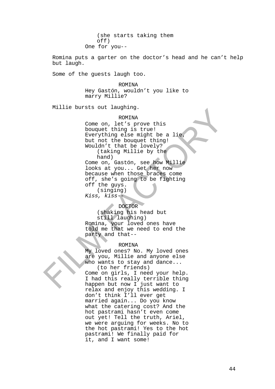(she starts taking them off) One for you--

Romina puts a garter on the doctor's head and he can't help but laugh.

Some of the guests laugh too.

ROMINA Hey Gastón, wouldn't you like to marry Millie?

Millie bursts out laughing.

### ROMINA

Come on, let's prove this bouquet thing is true! Everything else might be a lie, but not the bouquet thing! Wouldn't that be lovely? (taking Millie by the hand) Come on, Gastón, see how Millie looks at you... Get her now because when those braces come off, she's going to be fighting off the guys. (singing) *Kiss, kiss--*

# DOCTOR

(shaking his head but still laughing) Romina, your loved ones have told me that we need to end the party and that--

### ROMINA

My loved ones? No. My loved ones are you, Millie and anyone else who wants to stay and dance... (to her friends)

Come on girls, I need your help. I had this really terrible thing happen but now I just want to relax and enjoy this wedding. I don't think I'll ever get married again... Do you know what the catering cost? And the hot pastrami hasn't even come out yet! Tell the truth, Ariel, we were arguing for weeks. No to the hot pastrami! Yes to the hot pastrami! We finally paid for it, and I want some!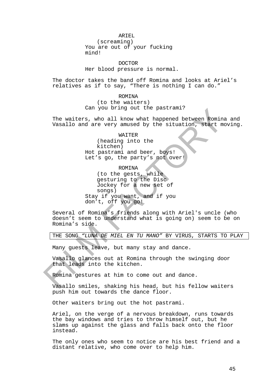ARIEL

(screaming) You are out of your fucking mind!

DOCTOR Her blood pressure is normal.

The doctor takes the band off Romina and looks at Ariel's relatives as if to say, "There is nothing I can do."

> **ROMINA** (to the waiters) Can you bring out the pastrami?

The waiters, who all know what happened between Romina and Vasallo and are very amused by the situation, start moving.

> WAITER (heading into the kitchen) Hot pastrami and beer, boys! Let's go, the party's not over!

ROMINA (to the gests, while gesturing to the Disc Jockey for a new set of songs) Stay if you want, and if you don't, off you go!

Several of Romina's friends along with Ariel's uncle (who doesn't seem to understand what is going on) seem to be on Romina's side.

THE SONG *"LUNA DE MIEL EN TU MANO"* BY VIRUS, STARTS TO PLAY

Many guests leave, but many stay and dance.

Vasallo glances out at Romina through the swinging door that leads into the kitchen.

Romina gestures at him to come out and dance.

Vasallo smiles, shaking his head, but his fellow waiters push him out towards the dance floor.

Other waiters bring out the hot pastrami.

Ariel, on the verge of a nervous breakdown, runs towards the bay windows and tries to throw himself out, but he slams up against the glass and falls back onto the floor instead.

The only ones who seem to notice are his best friend and a distant relative, who come over to help him.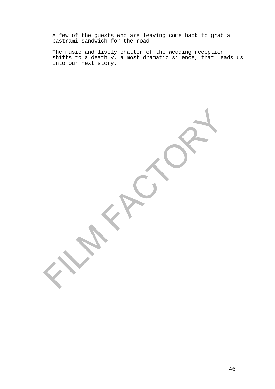A few of the guests who are leaving come back to grab a pastrami sandwich for the road.

The music and lively chatter of the wedding reception shifts to a deathly, almost dramatic silence, that leads us into our next story.

46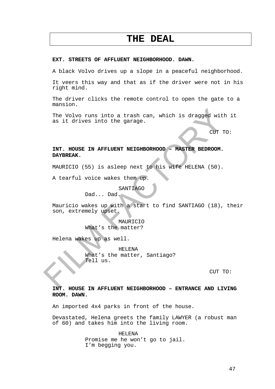# **THE DEAL**

# **EXT. STREETS OF AFFLUENT NEIGHBORHOOD. DAWN.**

A black Volvo drives up a slope in a peaceful neighborhood.

It veers this way and that as if the driver were not in his right mind.

The driver clicks the remote control to open the gate to a mansion.

The Volvo runs into a trash can, which is dragged with it as it drives into the garage.

CUT TO:

# **INT. HOUSE IN AFFLUENT NEIGHBORHOOD – MASTER BEDROOM. DAYBREAK.**

MAURICIO (55) is asleep next to his wife HELENA (50).

A tearful voice wakes them up.

SANTIAGO

Dad... Dad.

Mauricio wakes up with a start to find SANTIAGO (18), their son, extremely upset.

> MAURICIO What's the matter?

Helena wakes up as well.

HELENA What's the matter, Santiago? Tell us.

CUT TO:

# **INT. HOUSE IN AFFLUENT NEIGHBORHOOD – ENTRANCE AND LIVING ROOM. DAWN.**

An imported 4x4 parks in front of the house.

Devastated, Helena greets the family LAWYER (a robust man of 60) and takes him into the living room.

> HELENA Promise me he won't go to jail. I'm begging you.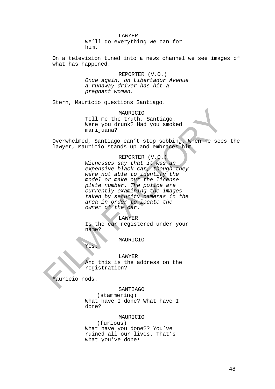LAWYER We'll do everything we can for him.

On a television tuned into a news channel we see images of what has happened.

> REPORTER (V.O.) *Once again, on Libertador Avenue a runaway driver has hit a pregnant woman.*

Stern, Mauricio questions Santiago.

MAURICIO Tell me the truth, Santiago. Were you drunk? Had you smoked marijuana?

Overwhelmed, Santiago can't stop sobbing. When he sees the lawyer, Mauricio stands up and embraces him.

> REPORTER (V.O.) *Witnesses say that it was an expensive black car, though they were not able to identify the model or make out the license plate number. The police are currently examining the images taken by security cameras in the area in order to locate the owner of the car.*

LAWYER Is the car registered under your name?

MAURICIO

Yes.

LAWYER And this is the address on the registration?

Mauricio nods.

SANTIAGO

(stammering) What have I done? What have I done?

### MAURICIO

(furious) What have you done?? You've ruined all our lives. That's what you've done!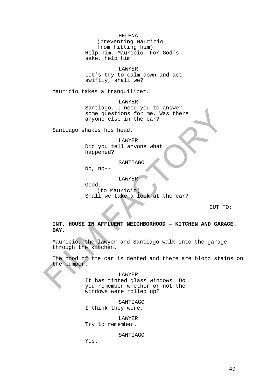HELENA

(preventing Mauricio from hitting him) Help him, Mauricio. For God's sake, help him!

LAWYER Let's try to calm down and act swiftly, shall we?

Mauricio takes a tranquilizer.

LAWYER Santiago, I need you to answer some questions for me. Was there anyone else in the car?

Santiago shakes his head.

LAWYER Did you tell anyone what happened?

SANTIAGO

No, no--

Good.

LAWYER

(to Mauricio) Shall we take a look at the car?

CUT TO:

**INT. HOUSE IN AFFLUENT NEIGHBORHOOD – KITCHEN AND GARAGE. DAY.**

Mauricio, the lawyer and Santiago walk into the garage through the kitchen.

The hood of the car is dented and there are blood stains on the bumper.

LAWYER

It has tinted glass windows. Do you remember whether or not the windows were rolled up?

SANTIAGO I think they were.

LAWYER Try to remember.

SANTIAGO

Yes.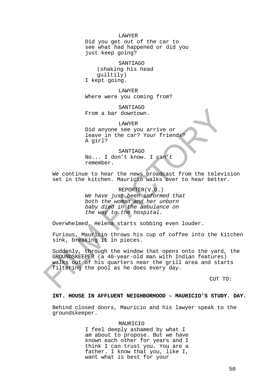#### LAWYER

Did you get out of the car to see what had happened or did you just keep going?

SANTIAGO (shaking his head guiltily) I kept going.

LAWYER Where were you coming from?

SANTIAGO From a bar downtown.

LAWYER Did anyone see you arrive or leave in the car? Your friends? A girl?

SANTIAGO No... I don't know. I can't remember.

We continue to hear the news broadcast from the television set in the kitchen. Mauricio walks over to hear better.

> REPORTER(V.O.) *We have just been informed that both the woman and her unborn baby died in the ambulance on the way to the hospital.*

Overwhelmed, Helena starts sobbing even louder.

Furious, Mauricio throws his cup of coffee into the kitchen sink, breaking it in pieces.

Suddenly, through the window that opens onto the yard, the GROUNDSKEEPER (a 40-year-old man with Indian features) walks out of his quarters near the grill area and starts filtering the pool as he does every day.

CUT TO:

### **INT. HOUSE IN AFFLUENT NEIGHBORHOOD – MAURICIO'S STUDY. DAY.**

Behind closed doors, Mauricio and his lawyer speak to the groundskeeper.

#### MAURICIO

I feel deeply ashamed by what I am about to propose. But we have known each other for years and I think I can trust you. You are a father. I know that you, like I, want what is best for your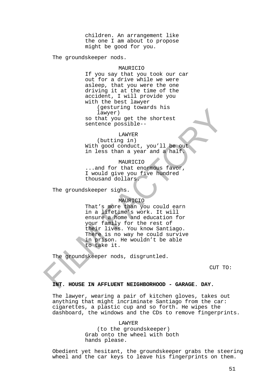children. An arrangement like the one I am about to propose might be good for you.

The groundskeeper nods.

### MAURICIO

If you say that you took our car out for a drive while we were asleep, that you were the one driving it at the time of the accident, I will provide you with the best lawyer (gesturing towards his lawyer)

so that you get the shortest sentence possible--

### LAWYER

(butting in) With good conduct, you'll be out in less than a year and a half.

### MAURICIO

...and for that enormous favor, I would give you five hundred thousand dollars.

The groundskeeper sighs.

### MAURICIO

That's more than you could earn in a lifetime's work. It will ensure a home and education for your family for the rest of their lives. You know Santiago. There is no way he could survive in prison. He wouldn't be able to take it.

groundskeeper nods, disgruntled.

CUT TO:

### **INT. HOUSE IN AFFLUENT NEIGHBORHOOD - GARAGE. DAY.**

The lawyer, wearing a pair of kitchen gloves, takes out anything that might incriminate Santiago from the car: cigarettes, a plastic cup and so forth. He wipes the dashboard, the windows and the CDs to remove fingerprints.

LAWYER

(to the groundskeeper) Grab onto the wheel with both hands please.

Obedient yet hesitant, the groundskeeper grabs the steering wheel and the car keys to leave his fingerprints on them.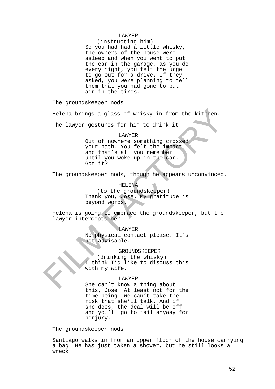### LAWYER

(instructing him) So you had had a little whisky, the owners of the house were asleep and when you went to put the car in the garage, as you do every night, you felt the urge to go out for a drive. If they asked, you were planning to tell them that you had gone to put air in the tires.

The groundskeeper nods.

Helena brings a glass of whisky in from the kitchen.

The lawyer gestures for him to drink it.

### LAWYER

Out of nowhere something crossed your path. You felt the impact and that's all you remember until you woke up in the car. Got it?

The groundskeeper nods, though he appears unconvinced.

# HELENA

(to the groundskeeper) Thank you, Jose. My gratitude is beyond words.

Helena is going to embrace the groundskeeper, but the lawyer intercepts her.

# LAWYER

No physical contact please. It's not advisable.

### GROUNDSKEEPER

(drinking the whisky) I think I'd like to discuss this with my wife.

### LAWYER

She can't know a thing about this, Jose. At least not for the time being. We can't take the risk that she'll talk. And if she does, the deal will be off and you'll go to jail anyway for perjury.

The groundskeeper nods.

Santiago walks in from an upper floor of the house carrying a bag. He has just taken a shower, but he still looks a wreck.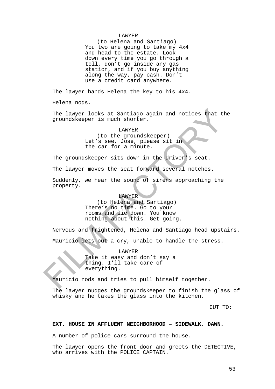### LAWYER

(to Helena and Santiago) You two are going to take my 4x4 and head to the estate. Look down every time you go through a toll, don't go inside any gas station, and if you buy anything along the way, pay cash. Don't use a credit card anywhere.

The lawyer hands Helena the key to his 4x4.

Helena nods.

The lawyer looks at Santiago again and notices that the groundskeeper is much shorter.

### LAWYER

(to the groundskeeper) Let's see, Jose, please sit in the car for a minute.

The groundskeeper sits down in the driver's seat.

The lawyer moves the seat forward several notches.

Suddenly, we hear the sound of sirens approaching the property.

### LAWYER

(to Helena and Santiago) There's no time. Go to your rooms and lie down. You know nothing about this. Get going.

Nervous and frightened, Helena and Santiago head upstairs.

Mauricio lets out a cry, unable to handle the stress.

LAWYER

Take it easy and don't say a thing. I'll take care of everything.

Mauricio nods and tries to pull himself together.

The lawyer nudges the groundskeeper to finish the glass of whisky and he takes the glass into the kitchen.

CUT TO:

### **EXT. HOUSE IN AFFLUENT NEIGHBORHOOD – SIDEWALK. DAWN.**

A number of police cars surround the house.

The lawyer opens the front door and greets the DETECTIVE, who arrives with the POLICE CAPTAIN.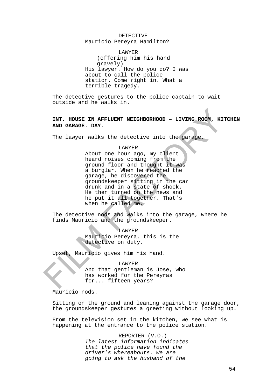### DETECTIVE

Mauricio Pereyra Hamilton?

LAWYER (offering him his hand gravely) His lawyer. How do you do? I was about to call the police station. Come right in. What a terrible tragedy.

The detective gestures to the police captain to wait outside and he walks in.

**INT. HOUSE IN AFFLUENT NEIGHBORHOOD – LIVING ROOM, KITCHEN AND GARAGE. DAY.**

The lawyer walks the detective into the garage.

# LAWYER

About one hour ago, my client heard noises coming from the ground floor and thought it was a burglar. When he reached the garage, he discovered the groundskeeper sitting in the car drunk and in a state of shock. He then turned on the news and he put it all together. That's when he called me.

The detective nods and walks into the garage, where he finds Mauricio and the groundskeeper.

> LAWYER Mauricio Pereyra, this is the detective on duty.

Upset, Mauricio gives him his hand.

LAWYER And that gentleman is Jose, who has worked for the Pereyras for... fifteen years?

Mauricio nods.

Sitting on the ground and leaning against the garage door, the groundskeeper gestures a greeting without looking up.

From the television set in the kitchen, we see what is happening at the entrance to the police station.

> REPORTER (V.O.) *The latest information indicates that the police have found the driver's whereabouts. We are going to ask the husband of the*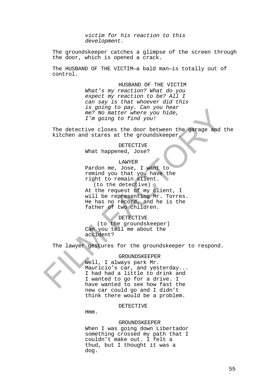*victim for his reaction to this development.*

The groundskeeper catches a glimpse of the screen through the door, which is opened a crack.

The HUSBAND OF THE VICTIM—a bald man—is totally out of control.

> HUSBAND OF THE VICTIM *What's my reaction? What do you expect my reaction to be? All I can say is that whoever did this is going to pay. Can you hear me? No matter where you hide, I'm going to find you!*

The detective closes the door between the garage and the kitchen and stares at the groundskeeper.

> DETECTIVE What happened, Jose?

> > LAWYER

Pardon me, Jose, I want to remind you that you have the right to remain silent. (to the detective) At the request of my client, I will be representing Mr. Torres. He has no record, and he is the father of two children.

DETECTIVE

(to the groundskeeper) Can you tell me about the accident?

The lawyer gestures for the groundskeeper to respond.

GROUNDSKEEPER

Well, I always park Mr. Mauricio's car, and yesterday... I had had a little to drink and I wanted to go for a drive. I have wanted to see how fast the new car could go and I didn't think there would be a problem.

### DETECTIVE

Hmm.

### GROUNDSKEEPER

When I was going down Libertador something crossed my path that I couldn't make out. I felt a thud, but I thought it was a dog.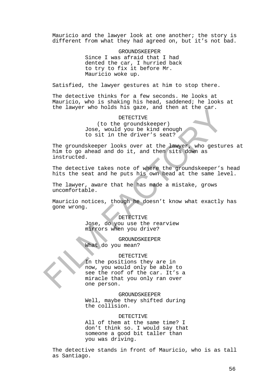Mauricio and the lawyer look at one another; the story is different from what they had agreed on, but it's not bad.

> GROUNDSKEEPER Since I was afraid that I had dented the car, I hurried back to try to fix it before Mr. Mauricio woke up.

Satisfied, the lawyer gestures at him to stop there.

The detective thinks for a few seconds. He looks at Mauricio, who is shaking his head, saddened; he looks at the lawyer who holds his gaze, and then at the car.

DETECTIVE

(to the groundskeeper) Jose, would you be kind enough to sit in the driver's seat?

The groundskeeper looks over at the lawyer, who gestures at him to go ahead and do it, and then sits down as instructed.

The detective takes note of where the groundskeeper's head hits the seat and he puts his own head at the same level.

The lawyer, aware that he has made a mistake, grows uncomfortable.

Mauricio notices, though he doesn't know what exactly has gone wrong.

DETECTIVE

Jose, do you use the rearview mirrors when you drive?

GROUNDSKEEPER

What do you mean?

### DETECTIVE

In the positions they are in now, you would only be able to see the roof of the car. It's a miracle that you only ran over one person.

GROUNDSKEEPER

Well, maybe they shifted during the collision.

### DETECTIVE

All of them at the same time? I don't think so. I would say that someone a good bit taller than you was driving.

The detective stands in front of Mauricio, who is as tall as Santiago.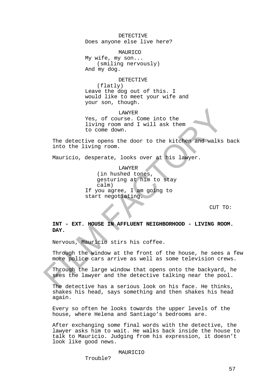DETECTIVE Does anyone else live here?

MAURICO My wife, my son... (smiling nervously) And my dog.

DETECTIVE

(flatly) Leave the dog out of this. I would like to meet your wife and your son, though.

LAWYER Yes, of course. Come into the living room and I will ask them to come down.

The detective opens the door to the kitchen and walks back into the living room.

Mauricio, desperate, looks over at his lawyer.

LAWYER (in hushed tones, gesturing at him to stay calm) If you agree, I am going to start negotiating.

CUT TO:

**INT - EXT. HOUSE IN AFFLUENT NEIGHBORHOOD - LIVING ROOM. DAY.**

Nervous, Mauricio stirs his coffee.

Through the window at the front of the house, he sees a few more police cars arrive as well as some television crews.

Through the large window that opens onto the backyard, he sees the lawyer and the detective talking near the pool.

The detective has a serious look on his face. He thinks, shakes his head, says something and then shakes his head again.

Every so often he looks towards the upper levels of the house, where Helena and Santiago's bedrooms are.

After exchanging some final words with the detective, the lawyer asks him to wait. He walks back inside the house to talk to Mauricio. Judging from his expression, it doesn't look like good news.

### MAURICIO

Trouble?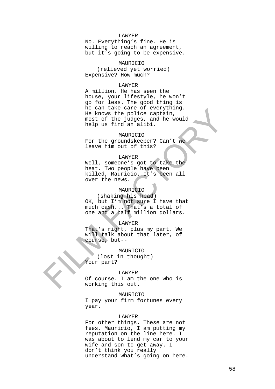### LAWYER

No. Everything's fine. He is willing to reach an agreement, but it's going to be expensive.

### MAURICIO

(relieved yet worried) Expensive? How much?

### LAWYER

A million. He has seen the house, your lifestyle, he won't go for less. The good thing is he can take care of everything. He knows the police captain, most of the judges, and he would help us find an alibi.

### MAURICIO

For the groundskeeper? Can't we leave him out of this?

# LAWYER

Well, someone's got to take the heat. Two people have been killed, Mauricio. It's been all over the news.

# MAURICIO

(shaking his head) OK, but I'm not sure I have that much cash... That's a total of one and a half million dollars.

### LAWYER

That's right, plus my part. We will talk about that later, of course, but--

MAURICIO

(lost in thought) Your part?

#### LAWYER

Of course. I am the one who is working this out.

### MAURICIO

I pay your firm fortunes every year.

### LAWYER

For other things. These are not fees, Mauricio, I am putting my reputation on the line here. I was about to lend my car to your wife and son to get away. I don't think you really understand what's going on here.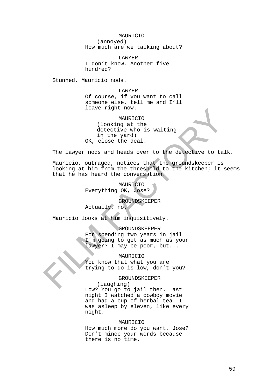# MAURICIO (annoyed) How much are we talking about?

LAWYER I don't know. Another five hundred?

Stunned, Mauricio nods.

LAWYER Of course, if you want to call someone else, tell me and I'll leave right now.

MAURICIO (looking at the detective who is waiting in the yard) OK, close the deal.

The lawyer nods and heads over to the detective to talk.

Mauricio, outraged, notices that the groundskeeper is looking at him from the threshold to the kitchen; it seems that he has heard the conversation.

> MAURICIO Everything OK, Jose?

> > GROUNDSKEEPER

Actually, no.

Mauricio looks at him inquisitively.

# GROUNDSKEEPER

For spending two years in jail I'm going to get as much as your lawyer? I may be poor, but...

# MAURICIO

You know that what you are trying to do is low, don't you?

GROUNDSKEEPER

(laughing) Low? You go to jail then. Last night I watched a cowboy movie and had a cup of herbal tea. I was asleep by eleven, like every night.

### MAURICIO

How much more do you want, Jose? Don't mince your words because there is no time.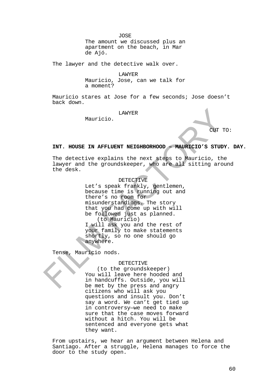JOSE The amount we discussed plus an apartment on the beach, in Mar de Ajó.

The lawyer and the detective walk over.

LAWYER Mauricio, Jose, can we talk for a moment?

Mauricio stares at Jose for a few seconds; Jose doesn't back down.

LAWYER

Mauricio.

CUT TO:

### **INT. HOUSE IN AFFLUENT NEIGHBORHOOD – MAURICIO'S STUDY. DAY.**

The detective explains the next steps to Mauricio, the lawyer and the groundskeeper, who are all sitting around the desk.

# DETECTIVE

Let's speak frankly, gentlemen, because time is running out and there's no room for misunderstandings. The story that you had come up with will be followed just as planned. (to Mauricio)

I will ask you and the rest of your family to make statements shortly, so no one should go anywhere.

Tense, Mauricio nods.

### DETECTIVE

(to the groundskeeper) You will leave here hooded and in handcuffs. Outside, you will be met by the press and angry citizens who will ask you questions and insult you. Don't say a word. We can't get tied up in controversy—we need to make sure that the case moves forward without a hitch. You will be sentenced and everyone gets what they want.

From upstairs, we hear an argument between Helena and Santiago. After a struggle, Helena manages to force the door to the study open.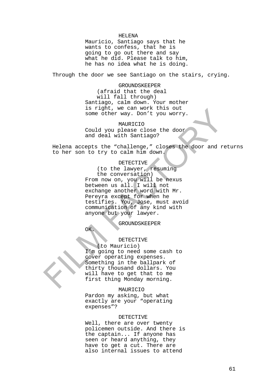#### HELENA

Mauricio, Santiago says that he wants to confess, that he is going to go out there and say what he did. Please talk to him, he has no idea what he is doing.

Through the door we see Santiago on the stairs, crying.

GROUNDSKEEPER (afraid that the deal will fall through) Santiago, calm down. Your mother is right, we can work this out some other way. Don't you worry.

MAURICIO Could you please close the door and deal with Santiago?

Helena accepts the "challenge," closes the door and returns to her son to try to calm him down.

#### DETECTIVE

(to the lawyer, resuming the conversation)

From now on, you will be nexus between us all. I will not exchange another word with Mr. Pereyra except for when he testifies. You, Jose, must avoid communication of any kind with anyone but your lawyer.

GROUNDSKEEPER

OK.

# DETECTIVE

(to Mauricio) I'm going to need some cash to cover operating expenses. Something in the ballpark of thirty thousand dollars. You will have to get that to me first thing Monday morning.

# MAURICIO

Pardon my asking, but what exactly are your "operating expenses"?

#### DETECTIVE

Well, there are over twenty policemen outside. And there is the captain... If anyone has seen or heard anything, they have to get a cut. There are also internal issues to attend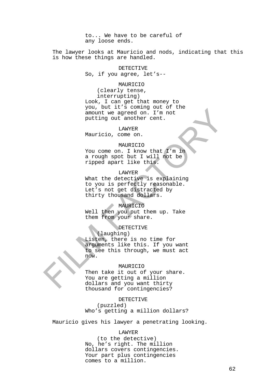to... We have to be careful of any loose ends.

The lawyer looks at Mauricio and nods, indicating that this is how these things are handled.

DETECTIVE

So, if you agree, let's--

### MAURICIO

(clearly tense, interrupting) Look, I can get that money to you, but it's coming out of the amount we agreed on. I'm not putting out another cent.

#### LAWYER

Mauricio, come on.

### MAURICIO

You come on. I know that I'm in a rough spot but I will not be ripped apart like this.

### LAWYER

What the detective is explaining to you is perfectly reasonable. Let's not get distracted by thirty thousand dollars.

## MAURICIO

Well then you put them up. Take them from your share.

### **DETECTIVE**

(laughing) Listen, there is no time for arguments like this. If you want to see this through, we must act now.

## MAURICIO

Then take it out of your share. You are getting a million dollars and you want thirty thousand for contingencies?

#### DETECTIVE

(puzzled) Who's getting a million dollars?

Mauricio gives his lawyer a penetrating looking.

### LAWYER

(to the detective) No, he's right. The million dollars covers contingencies. Your part plus contingencies comes to a million.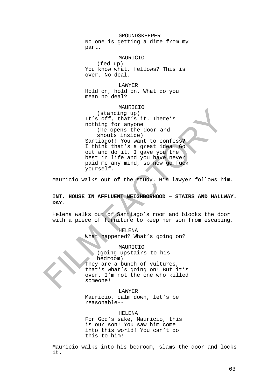### GROUNDSKEEPER

No one is getting a dime from my part.

### MAURICIO

(fed up) You know what, fellows? This is over. No deal.

LAWYER Hold on, hold on. What do you mean no deal?

# MAURICIO (standing up) It's off, that's it. There's nothing for anyone! (he opens the door and shouts inside) Santiago!! You want to confess?

I think that's a great idea. Go out and do it. I gave you the best in life and you have never paid me any mind, so now go fuck yourself.

Mauricio walks out of the study. His lawyer follows him.

# **INT. HOUSE IN AFFLUENT NEIGHBORHOOD – STAIRS AND HALLWAY. DAY.**

Helena walks out of Santiago's room and blocks the door with a piece of furniture to keep her son from escaping.

### HELENA

What happened? What's going on?

# MAURICIO

(going upstairs to his bedroom) They are a bunch of vultures, that's what's going on! But it's over. I'm not the one who killed someone!

### LAWYER

Mauricio, calm down, let's be reasonable--

### HELENA

For God's sake, Mauricio, this is our son! You saw him come into this world! You can't do this to him!

Mauricio walks into his bedroom, slams the door and locks it.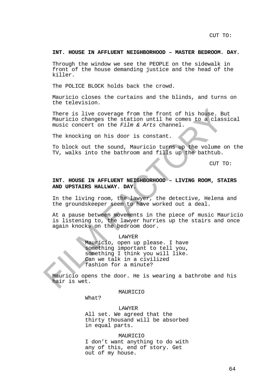CUT TO:

#### **INT. HOUSE IN AFFLUENT NEIGHBORHOOD – MASTER BEDROOM. DAY.**

Through the window we see the PEOPLE on the sidewalk in front of the house demanding justice and the head of the killer.

The POLICE BLOCK holds back the crowd.

Mauricio closes the curtains and the blinds, and turns on the television.

There is live coverage from the front of his house. But Mauricio changes the station until he comes to a classical music concert on the *Film & Arts* channel.

The knocking on his door is constant.

To block out the sound, Mauricio turns up the volume on the TV, walks into the bathroom and fills up the bathtub.

CUT TO:

# **INT. HOUSE IN AFFLUENT NEIGHBORHOOD – LIVING ROOM, STAIRS AND UPSTAIRS HALLWAY. DAY.**

In the living room, the lawyer, the detective, Helena and the groundskeeper seem to have worked out a deal.

At a pause between movements in the piece of music Mauricio is listening to, the lawyer hurries up the stairs and once again knocks on the bedroom door.

> LAWYER Mauricio, open up please. I have something important to tell you, something I think you will like. Can we talk in a civilized fashion for a minute?

Mauricio opens the door. He is wearing a bathrobe and his hair is wet.

MAURICIO

What?

LAWYER All set. We agreed that the thirty thousand will be absorbed in equal parts.

### MAURICIO

I don't want anything to do with any of this, end of story. Get out of my house.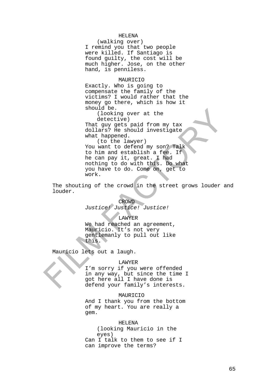# HELENA

(walking over) I remind you that two people were killed. If Santiago is found guilty, the cost will be much higher. Jose, on the other hand, is penniless.

### MAURICIO

Exactly. Who is going to compensate the family of the victims? I would rather that the money go there, which is how it should be.

(looking over at the detective)

That guy gets paid from my tax dollars? He should investigate what happened.

(to the lawyer) You want to defend my son? Talk to him and establish a fee. If he can pay it, great. I had nothing to do with this. Do what you have to do. Come on, get to work.

The shouting of the crowd in the street grows louder and louder.

#### CROWD

*Justice! Justice! Justice!*

### LAWYER

We had reached an agreement, Mauricio. It's not very gentlemanly to pull out like this.

Mauricio lets out a laugh.

### LAWYER

I'm sorry if you were offended in any way, but since the time I got here all I have done is defend your family's interests.

### MAURICIO

And I thank you from the bottom of my heart. You are really a gem.

### HELENA

(looking Mauricio in the eyes) Can I talk to them to see if I can improve the terms?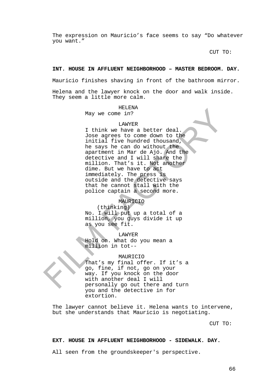The expression on Mauricio's face seems to say "Do whatever you want."

CUT TO:

### **INT. HOUSE IN AFFLUENT NEIGHBORHOOD – MASTER BEDROOM. DAY.**

Mauricio finishes shaving in front of the bathroom mirror.

Helena and the lawyer knock on the door and walk inside. They seem a little more calm.

#### HELENA

May we come in?

#### LAWYER

I think we have a better deal. Jose agrees to come down to the initial five hundred thousand, he says he can do without the apartment in Mar de Ajó. And the detective and I will share the million. That's it. Not another dime. But we have to act immediately. The press is outside and the detective says that he cannot stall with the police captain a second more.

## MAURICIO

(thinking) No. I will put up a total of a million, you guys divide it up as you see fit.

LAWYER

Hold on. What do you mean a million in tot--

# MAURICIO

That's my final offer. If it's a go, fine, if not, go on your way. If you knock on the door with another deal I will personally go out there and turn you and the detective in for extortion.

The lawyer cannot believe it. Helena wants to intervene, but she understands that Mauricio is negotiating.

CUT TO:

### **EXT. HOUSE IN AFFLUENT NEIGHBORHOOD - SIDEWALK. DAY.**

All seen from the groundskeeper's perspective.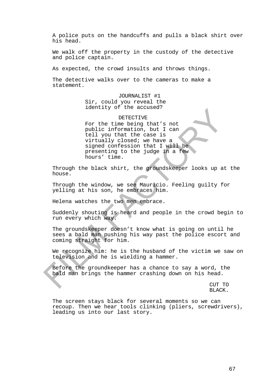A police puts on the handcuffs and pulls a black shirt over his head.

We walk off the property in the custody of the detective and police captain.

As expected, the crowd insults and throws things.

The detective walks over to the cameras to make a statement.

> JOURNALIST #1 Sir, could you reveal the identity of the accused?

> > DETECTIVE

For the time being that's not public information, but I can tell you that the case is virtually closed; we have a signed confession that I will be presenting to the judge in a few hours' time.

Through the black shirt, the groundskeeper looks up at the house.

Through the window, we see Mauricio. Feeling guilty for yelling at his son, he embraces him.

Helena watches the two men embrace.

Suddenly shouting is heard and people in the crowd begin to run every which way.

The groundskeeper doesn't know what is going on until he sees a bald man pushing his way past the police escort and coming straight for him.

We recognize him: he is the husband of the victim we saw on television and he is wielding a hammer.

Before the groundkeeper has a chance to say a word, the bald man brings the hammer crashing down on his head.

> CUT TO BLACK.

The screen stays black for several moments so we can recoup. Then we hear tools clinking (pliers, screwdrivers), leading us into our last story.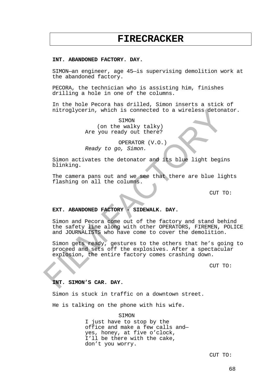# **FIRECRACKER**

### **INT. ABANDONED FACTORY. DAY.**

SIMON—an engineer, age 45—is supervising demolition work at the abandoned factory.

PECORA, the technician who is assisting him, finishes drilling a hole in one of the columns.

In the hole Pecora has drilled, Simon inserts a stick of nitroglycerin, which is connected to a wireless detonator.

> SIMON (on the walky talky) Are you ready out there?

OPERATOR (V.O.) *Ready to go, Simon.*

Simon activates the detonator and its blue light begins blinking.

The camera pans out and we see that there are blue lights flashing on all the columns.

CUT TO:

# **EXT. ABANDONED FACTORY - SIDEWALK. DAY.**

Simon and Pecora come out of the factory and stand behind the safety line along with other OPERATORS, FIREMEN, POLICE and JOURNALISTS who have come to cover the demolition.

Simon gets ready, gestures to the others that he's going to proceed and sets off the explosives. After a spectacular explosion, the entire factory comes crashing down.

CUT TO:

# **INT. SIMON'S CAR. DAY.**

Simon is stuck in traffic on a downtown street.

He is talking on the phone with his wife.

SIMON

I just have to stop by the office and make a few calls and yes, honey, at five o'clock, I'll be there with the cake, don't you worry.

CUT TO: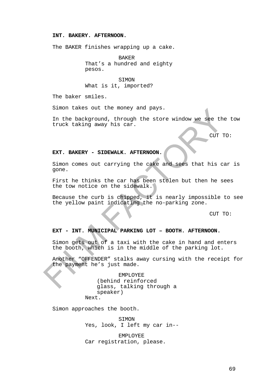# **INT. BAKERY. AFTERNOON.**

The BAKER finishes wrapping up a cake.

BAKER That's a hundred and eighty pesos.

**STMON** What is it, imported?

The baker smiles.

Simon takes out the money and pays.

In the background, through the store window we see the tow truck taking away his car.

CUT TO:

### **EXT. BAKERY - SIDEWALK. AFTERNOON.**

Simon comes out carrying the cake and sees that his car is gone.

First he thinks the car has been stolen but then he sees the tow notice on the sidewalk.

Because the curb is chipped, it is nearly impossible to see the yellow paint indicating the no-parking zone.

CUT TO:

# **EXT - INT. MUNICIPAL PARKING LOT – BOOTH. AFTERNOON.**

Simon gets out of a taxi with the cake in hand and enters the booth, which is in the middle of the parking lot.

Another "OFFENDER" stalks away cursing with the receipt for the payment he's just made.

> EMPLOYEE (behind reinforced glass, talking through a speaker) Next.

Simon approaches the booth.

SIMON Yes, look, I left my car in--

EMPLOYEE Car registration, please.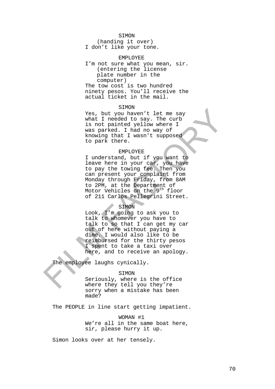### SIMON

(handing it over) I don't like your tone.

### EMPLOYEE

I'm not sure what you mean, sir. (entering the license plate number in the computer) The tow cost is two hundred ninety pesos. You'll receive the

#### SIMON

actual ticket in the mail.

Yes, but you haven't let me say what I needed to say. The curb is not painted yellow where I was parked. I had no way of knowing that I wasn't supposed to park there.

## EMPLOYEE

I understand, but if you want to leave here in your car, you have to pay the towing fee. Then you can present your complaint from Monday through Friday, from 8AM to 2PM, at the Department of Motor Vehicles on the 9<sup>th</sup> floor of 211 Carlos Pellegrini Street.

### SIMON

Look, I'm going to ask you to talk to whomever you have to talk to so that I can get my car out of here without paying a dime. I would also like to be reimbursed for the thirty pesos I spent to take a taxi over here, and to receive an apology.

The employee laughs cynically.

#### SIMON

Seriously, where is the office where they tell you they're sorry when a mistake has been made?

The PEOPLE in line start getting impatient.

WOMAN #1 We're all in the same boat here, sir, please hurry it up.

Simon looks over at her tensely.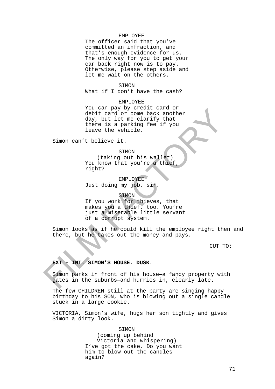### EMPLOYEE

The officer said that you've committed an infraction, and that's enough evidence for us. The only way for you to get your car back right now is to pay. Otherwise, please step aside and let me wait on the others.

### SIMON

What if I don't have the cash?

### EMPLOYEE

You can pay by credit card or debit card or come back another day, but let me clarify that there is a parking fee if you leave the vehicle.

Simon can't believe it.

#### SIMON

(taking out his wallet) You know that you're a thief right?

EMPLOYEE Just doing my job, sir.

## SIMON

If you work for thieves, that makes you a thief, too. You're just a miserable little servant of a corrupt system.

Simon looks as if he could kill the employee right then and there, but he takes out the money and pays.

CUT TO:

# **EXT - INT. SIMON'S HOUSE. DUSK.**

Simon parks in front of his house—a fancy property with gates in the suburbs—and hurries in, clearly late.

The few CHILDREN still at the party are singing happy birthday to his SON, who is blowing out a single candle stuck in a large cookie.

VICTORIA, Simon's wife, hugs her son tightly and gives Simon a dirty look.

#### SIMON

(coming up behind Victoria and whispering) I've got the cake. Do you want him to blow out the candles again?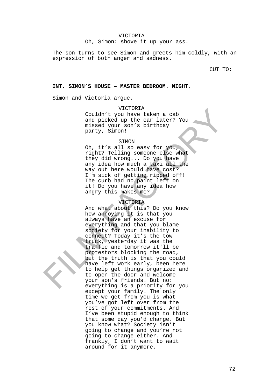#### VICTORIA

Oh, Simon: shove it up your ass.

The son turns to see Simon and greets him coldly, with an expression of both anger and sadness.

CUT TO:

#### **INT. SIMON'S HOUSE – MASTER BEDROOM. NIGHT.**

Simon and Victoria argue.

VICTORIA

Couldn't you have taken a cab and picked up the car later? You missed your son's birthday party, Simon!

#### SIMON

Oh, it's all so easy for you, right? Telling someone else what they did wrong... Do you have any idea how much a taxi all the way out here would have cost? I'm sick of getting ripped off! The curb had no paint left on it! Do you have any idea how angry this makes me?

#### VICTORIA

And what about this? Do you know how annoying it is that you always have an excuse for everything and that you blame society for your inability to connect? Today it's the tow truck, yesterday it was the traffic and tomorrow it'll be protestors blocking the road, but the truth is that you could have left work early, been here to help get things organized and to open the door and welcome your son's friends. But no: everything is a priority for you except your family. The only time we get from you is what you've got left over from the rest of your commitments. And I've been stupid enough to think that some day you'd change. But you know what? Society isn't going to change and you're not going to change either. And frankly, I don't want to wait around for it anymore.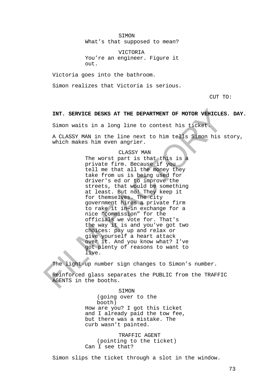SIMON

What's that supposed to mean?

VICTORIA You're an engineer. Figure it out.

Victoria goes into the bathroom.

Simon realizes that Victoria is serious.

CUT TO:

## **INT. SERVICE DESKS AT THE DEPARTMENT OF MOTOR VEHICLES. DAY.**

Simon waits in a long line to contest his ticket.

A CLASSY MAN in the line next to him tells Simon his story, which makes him even angrier.

#### CLASSY MAN

The worst part is that this is a private firm. Because if you tell me that all the money they take from us is being used for driver's ed or to improve the streets, that would be something at least. But no! They keep it for themselves. The city government hires a private firm to rake it in—in exchange for a nice "commission" for the officials we vote for. That's the way it is and you've got two choices: pay up and relax or give yourself a heart attack over it. And you know what? I've got plenty of reasons to want to live.

The light-up number sign changes to Simon's number.

Reinforced glass separates the PUBLIC from the TRAFFIC AGENTS in the booths.

> SIMON (going over to the booth) How are you? I got this ticket and I already paid the tow fee, but there was a mistake. The curb wasn't painted.

TRAFFIC AGENT (pointing to the ticket) Can I see that?

Simon slips the ticket through a slot in the window.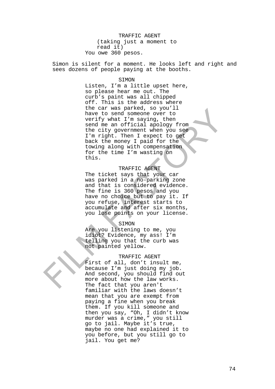TRAFFIC AGENT (taking just a moment to read it) You owe 360 pesos.

Simon is silent for a moment. He looks left and right and sees dozens of people paying at the booths.

#### SIMON

Listen, I'm a little upset here, so please hear me out. The curb's paint was all chipped off. This is the address where the car was parked, so you'll have to send someone over to verify what I'm saying, then send me an official apology from the city government when you see I'm right. Then I expect to get back the money I paid for the towing along with compensation for the time I'm wasting on this.

## TRAFFIC AGENT

The ticket says that your car was parked in a no-parking zone and that is considered evidence. The fine is 360 pesos and you have no choice but to pay it. If you refuse, interest starts to accumulate and after six months, you lose points on your license.

#### SIMON

Are you listening to me, you idiot? Evidence, my ass! I'm telling you that the curb was not painted yellow.

## TRAFFIC AGENT

First of all, don't insult me, because I'm just doing my job. And second, you should find out more about how the law works. The fact that you aren't familiar with the laws doesn't mean that you are exempt from paying a fine when you break them. If you kill someone and then you say, "Oh, I didn't know murder was a crime," you still go to jail. Maybe it's true, maybe no one had explained it to you before, but you still go to jail. You get me?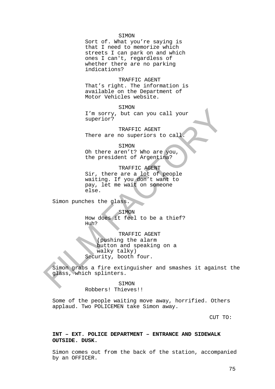#### SIMON

Sort of. What you're saying is that I need to memorize which streets I can park on and which ones I can't, regardless of whether there are no parking indications?

TRAFFIC AGENT That's right. The information is available on the Department of Motor Vehicles website.

SIMON I'm sorry, but can you call your superior?

TRAFFIC AGENT There are no superiors to call

SIMON

Oh there aren't? Who are you, the president of Argentina?

TRAFFIC AGENT Sir, there are a lot of people waiting. If you don't want to pay, let me wait on someone else.

Simon punches the glass.

**SIMON** How does it feel to be a thief? Huh?

TRAFFIC AGENT (pushing the alarm button and speaking on a walky talky) Security, booth four.

Simon grabs a fire extinguisher and smashes it against the glass, which splinters.

> SIMON Robbers! Thieves!!

Some of the people waiting move away, horrified. Others applaud. Two POLICEMEN take Simon away.

CUT TO:

**INT – EXT. POLICE DEPARTMENT – ENTRANCE AND SIDEWALK OUTSIDE. DUSK.**

Simon comes out from the back of the station, accompanied by an OFFICER.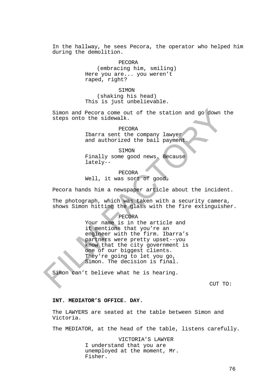In the hallway, he sees Pecora, the operator who helped him during the demolition.

> PECORA (embracing him, smiling) Here you are... you weren't raped, right?

SIMON (shaking his head) This is just unbelievable.

Simon and Pecora come out of the station and go down the steps onto the sidewalk.

> PECORA Ibarra sent the company lawyer and authorized the bail payment.

> **STMON** Finally some good news. Because lately--

PECORA Well, it was sort of good.

Pecora hands him a newspaper article about the incident.

The photograph, which was taken with a security camera, shows Simon hitting the glass with the fire extinguisher.

## PECORA

Your name is in the article and it mentions that you're an engineer with the firm. Ibarra's partners were pretty upset--you know that the city government is one of our biggest clients. They're going to let you go, Simon. The decision is final.

Simon can't believe what he is hearing.

CUT TO:

#### **INT. MEDIATOR'S OFFICE. DAY.**

The LAWYERS are seated at the table between Simon and Victoria.

The MEDIATOR, at the head of the table, listens carefully.

VICTORIA'S LAWYER I understand that you are unemployed at the moment, Mr. Fisher.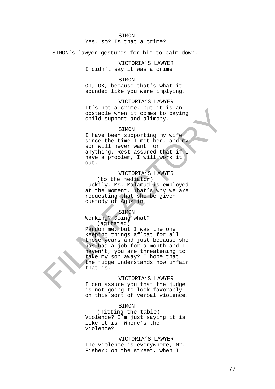#### SIMON

## Yes, so? Is that a crime?

SIMON's lawyer gestures for him to calm down.

VICTORIA'S LAWYER I didn't say it was a crime.

#### SIMON

Oh, OK, because that's what it sounded like you were implying.

VICTORIA'S LAWYER It's not a crime, but it is an obstacle when it comes to paying child support and alimony.

#### SIMON

I have been supporting my wife since the time I met her, and my son will never want for anything. Rest assured that if I have a problem, I will work it out.

# VICTORIA'S LAWYER

(to the mediator) Luckily, Ms. Malamud is employed at the moment. That's why we are requesting that she be given custody of Agustin.

# SIMON

Working? Doing what? (agitated)

Pardon me, but I was the one keeping things afloat for all those years and just because she has had a job for a month and I haven't, you are threatening to take my son away? I hope that the judge understands how unfair that is.

#### VICTORIA'S LAWYER

I can assure you that the judge is not going to look favorably on this sort of verbal violence.

## SIMON

(hitting the table) Violence? I'm just saying it is like it is. Where's the violence?

VICTORIA'S LAWYER The violence is everywhere, Mr. Fisher: on the street, when I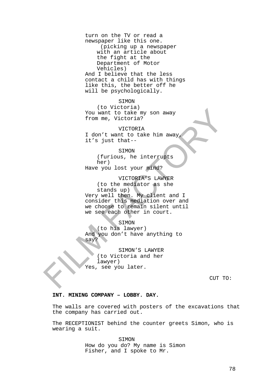turn on the TV or read a newspaper like this one. (picking up a newspaper with an article about the fight at the Department of Motor Vehicles) And I believe that the less contact a child has with things like this, the better off he will be psychologically.

# SIMON

(to Victoria) You want to take my son away from me, Victoria?

#### VICTORIA

I don't want to take him away, it's just that--

## SIMON

(furious, he interrupts her)

Have you lost your mind?

VICTORIA'S LAWYER (to the mediator as she stands up) Very well then. My client and I consider this mediation over and we choose to remain silent until we see each other in court.

#### SIMON

(to his lawyer) And you don't have anything to say?

SIMON'S LAWYER (to Victoria and her lawyer) Yes, see you later.

CUT TO:

# **INT. MINING COMPANY – LOBBY. DAY.**

The walls are covered with posters of the excavations that the company has carried out.

The RECEPTIONIST behind the counter greets Simon, who is wearing a suit.

SIMON

How do you do? My name is Simon Fisher, and I spoke to Mr.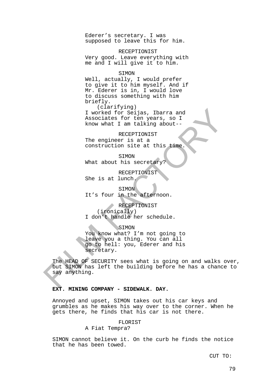Ederer's secretary. I was supposed to leave this for him.

RECEPTIONIST Very good. Leave everything with me and I will give it to him.

#### SIMON

Well, actually, I would prefer to give it to him myself. And if Mr. Ederer is in, I would love to discuss something with him briefly.

(clarifying) I worked for Seijas, Ibarra and Associates for ten years, so I know what I am talking about--

#### RECEPTIONIST

The engineer is at a construction site at this time.

SIMON

What about his secretary?

RECEPTIONIST She is at lunch.

SIMON It's four in the afternoon.

**RECEPTIONIST** 

(ironically)

I don't handle her schedule.

SIMON

You know what? I'm not going to leave you a thing. You can all go to hell: you, Ederer and his secretary.

The HEAD OF SECURITY sees what is going on and walks over, but SIMON has left the building before he has a chance to say anything.

## **EXT. MINING COMPANY - SIDEWALK. DAY.**

Annoyed and upset, SIMON takes out his car keys and grumbles as he makes his way over to the corner. When he gets there, he finds that his car is not there.

#### FLORIST

A Fiat Tempra?

SIMON cannot believe it. On the curb he finds the notice that he has been towed.

CUT TO: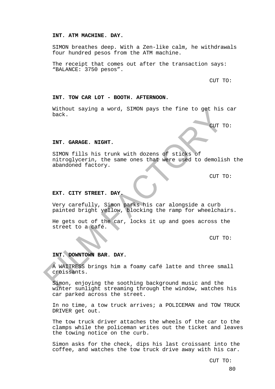#### **INT. ATM MACHINE. DAY.**

SIMON breathes deep. With a Zen-like calm, he withdrawals four hundred pesos from the ATM machine.

The receipt that comes out after the transaction says: "BALANCE: 3750 pesos".

CUT TO:

#### **INT. TOW CAR LOT - BOOTH. AFTERNOON.**

Without saying a word, SIMON pays the fine to get his car back.

CUT TO:

#### **INT. GARAGE. NIGHT.**

SIMON fills his trunk with dozens of sticks of nitroglycerin, the same ones that were used to demolish the abandoned factory.

CUT TO:

## **EXT. CITY STREET. DAY.**

Very carefully, Simon parks his car alongside a curb painted bright yellow, blocking the ramp for wheelchairs.

He gets out of the car, locks it up and goes across the street to a café.

CUT TO:

## **INT. DOWNTOWN BAR. DAY.**

A WAITRESS brings him a foamy café latte and three small croissants.

Simon, enjoying the soothing background music and the winter sunlight streaming through the window, watches his car parked across the street.

In no time, a tow truck arrives; a POLICEMAN and TOW TRUCK DRIVER get out.

The tow truck driver attaches the wheels of the car to the clamps while the policeman writes out the ticket and leaves the towing notice on the curb.

Simon asks for the check, dips his last croissant into the coffee, and watches the tow truck drive away with his car.

CUT TO: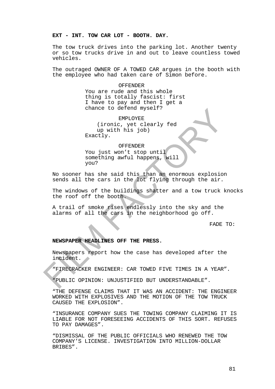# **EXT - INT. TOW CAR LOT - BOOTH. DAY.**

The tow truck drives into the parking lot. Another twenty or so tow trucks drive in and out to leave countless towed vehicles.

The outraged OWNER OF A TOWED CAR argues in the booth with the employee who had taken care of Simon before.

> **OFFENDER** You are rude and this whole thing is totally fascist: first I have to pay and then I get a chance to defend myself?

EMPLOYEE (ironic, yet clearly fed up with his job) Exactly.

#### OFFENDER

You just won't stop until something awful happens, will you?

No sooner has she said this than an enormous explosion sends all the cars in the lot flying through the air.

The windows of the buildings shatter and a tow truck knocks the roof off the booth.

A trail of smoke rises endlessly into the sky and the alarms of all the cars in the neighborhood go off.

FADE TO:

## **NEWSPAPER HEADLINES OFF THE PRESS.**

Newspapers report how the case has developed after the incident.

"FIRECRACKER ENGINEER: CAR TOWED FIVE TIMES IN A YEAR".

"PUBLIC OPINION: UNJUSTIFIED BUT UNDERSTANDABLE".

"THE DEFENSE CLAIMS THAT IT WAS AN ACCIDENT: THE ENGINEER WORKED WITH EXPLOSIVES AND THE MOTION OF THE TOW TRUCK CAUSED THE EXPLOSION".

"INSURANCE COMPANY SUES THE TOWING COMPANY CLAIMING IT IS LIABLE FOR NOT FORESEEING ACCIDENTS OF THIS SORT. REFUSES TO PAY DAMAGES".

"DISMISSAL OF THE PUBLIC OFFICIALS WHO RENEWED THE TOW COMPANY'S LICENSE. INVESTIGATION INTO MILLION-DOLLAR BRIBES".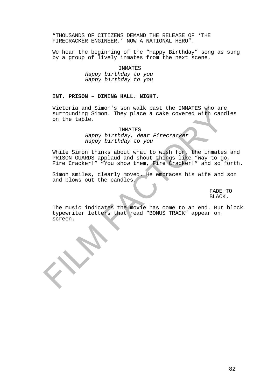"THOUSANDS OF CITIZENS DEMAND THE RELEASE OF 'THE FIRECRACKER ENGINEER,' NOW A NATIONAL HERO".

We hear the beginning of the "Happy Birthday" song as sung by a group of lively inmates from the next scene.

INMATES

*Happy birthday to you Happy birthday to you*

## **INT. PRISON – DINING HALL. NIGHT.**

Victoria and Simon's son walk past the INMATES who are surrounding Simon. They place a cake covered with candles on the table.

INMATES

*Happy birthday, dear Firecracker Happy birthday to you*

While Simon thinks about what to wish for, the inmates and PRISON GUARDS applaud and shout things like "Way to go, Fire Cracker!" "You show them, Fire Cracker!" and so forth.

Simon smiles, clearly moved. He embraces his wife and son and blows out the candles.

> FADE TO BLACK.

The music indicates the movie has come to an end. But block typewriter letters that read "BONUS TRACK" appear on screen.